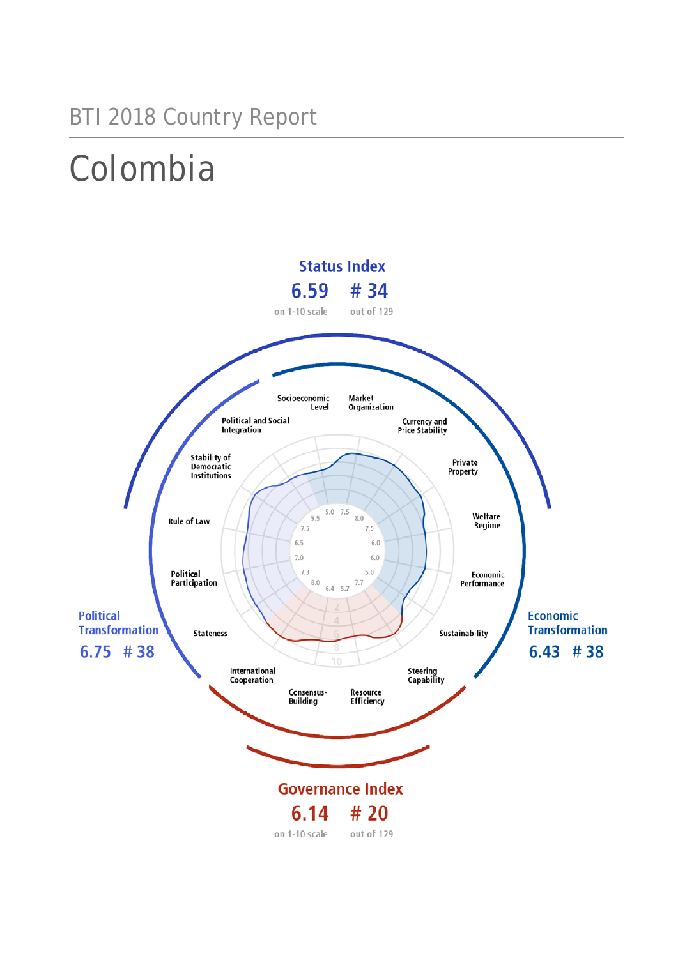### BTI 2018 Country Report

## Colombia

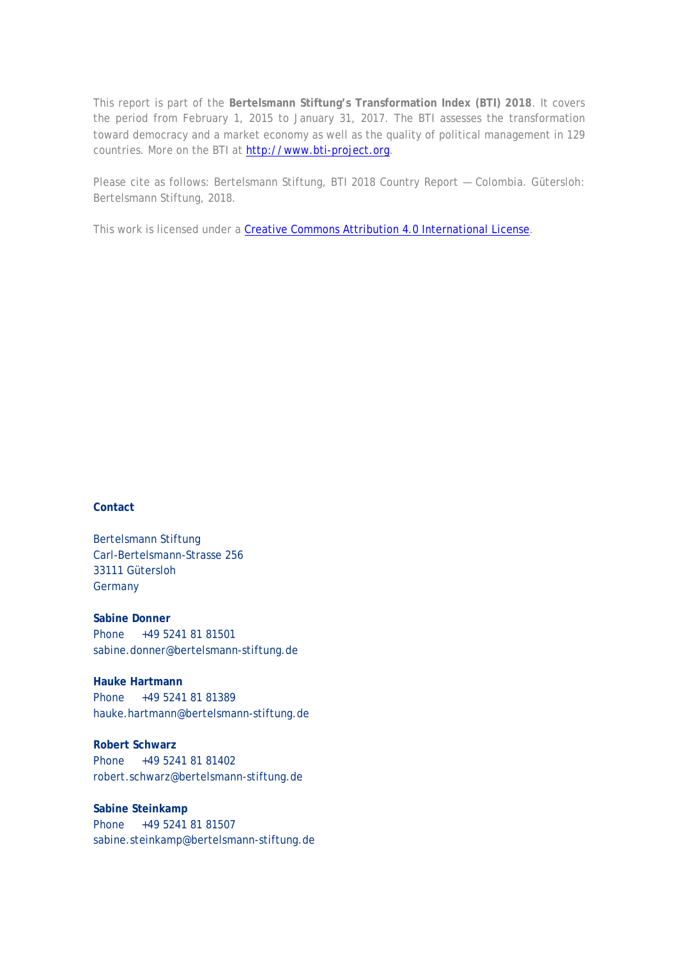This report is part of the **Bertelsmann Stiftung's Transformation Index (BTI) 2018**. It covers the period from February 1, 2015 to January 31, 2017. The BTI assesses the transformation toward democracy and a market economy as well as the quality of political management in 129 countries. More on the BTI at [http://www.bti-project.org.](http://www.bti-project.org/)

Please cite as follows: Bertelsmann Stiftung, BTI 2018 Country Report — Colombia. Gütersloh: Bertelsmann Stiftung, 2018.

This work is licensed under a [Creative Commons Attribution 4.0 International License.](http://creativecommons.org/licenses/by/4.0/)

### **Contact**

Bertelsmann Stiftung Carl-Bertelsmann-Strasse 256 33111 Gütersloh **Germany** 

**Sabine Donner** Phone +49 5241 81 81501 sabine.donner@bertelsmann-stiftung.de

**Hauke Hartmann** Phone +49 5241 81 81389 hauke.hartmann@bertelsmann-stiftung.de

**Robert Schwarz** Phone +49 5241 81 81402 robert.schwarz@bertelsmann-stiftung.de

**Sabine Steinkamp** Phone +49 5241 81 81507 sabine.steinkamp@bertelsmann-stiftung.de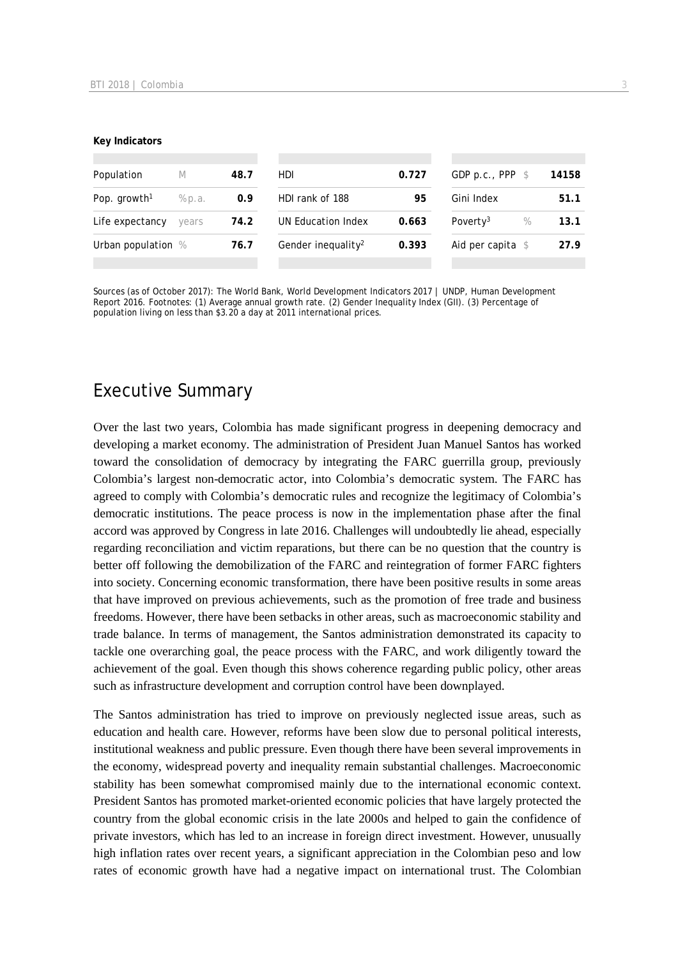#### **Key Indicators**

| Population               | M      | 48.7 | HDI.                           | 0.727 | GDP p.c., PPP $$$            | 14158 |
|--------------------------|--------|------|--------------------------------|-------|------------------------------|-------|
| Pop. growth <sup>1</sup> | % p.a. | 0.9  | HDI rank of 188                | 95    | Gini Index                   | 51.1  |
| Life expectancy          | years  | 74.2 | UN Education Index             | 0.663 | Poverty <sup>3</sup><br>$\%$ | 13.1  |
| Urban population %       |        | 76.7 | Gender inequality <sup>2</sup> | 0.393 | Aid per capita $$$           | 27.9  |
|                          |        |      |                                |       |                              |       |

Sources (as of October 2017): The World Bank, World Development Indicators 2017 | UNDP, Human Development Report 2016. Footnotes: (1) Average annual growth rate. (2) Gender Inequality Index (GII). (3) Percentage of population living on less than \$3.20 a day at 2011 international prices.

### Executive Summary

Over the last two years, Colombia has made significant progress in deepening democracy and developing a market economy. The administration of President Juan Manuel Santos has worked toward the consolidation of democracy by integrating the FARC guerrilla group, previously Colombia's largest non-democratic actor, into Colombia's democratic system. The FARC has agreed to comply with Colombia's democratic rules and recognize the legitimacy of Colombia's democratic institutions. The peace process is now in the implementation phase after the final accord was approved by Congress in late 2016. Challenges will undoubtedly lie ahead, especially regarding reconciliation and victim reparations, but there can be no question that the country is better off following the demobilization of the FARC and reintegration of former FARC fighters into society. Concerning economic transformation, there have been positive results in some areas that have improved on previous achievements, such as the promotion of free trade and business freedoms. However, there have been setbacks in other areas, such as macroeconomic stability and trade balance. In terms of management, the Santos administration demonstrated its capacity to tackle one overarching goal, the peace process with the FARC, and work diligently toward the achievement of the goal. Even though this shows coherence regarding public policy, other areas such as infrastructure development and corruption control have been downplayed.

The Santos administration has tried to improve on previously neglected issue areas, such as education and health care. However, reforms have been slow due to personal political interests, institutional weakness and public pressure. Even though there have been several improvements in the economy, widespread poverty and inequality remain substantial challenges. Macroeconomic stability has been somewhat compromised mainly due to the international economic context. President Santos has promoted market-oriented economic policies that have largely protected the country from the global economic crisis in the late 2000s and helped to gain the confidence of private investors, which has led to an increase in foreign direct investment. However, unusually high inflation rates over recent years, a significant appreciation in the Colombian peso and low rates of economic growth have had a negative impact on international trust. The Colombian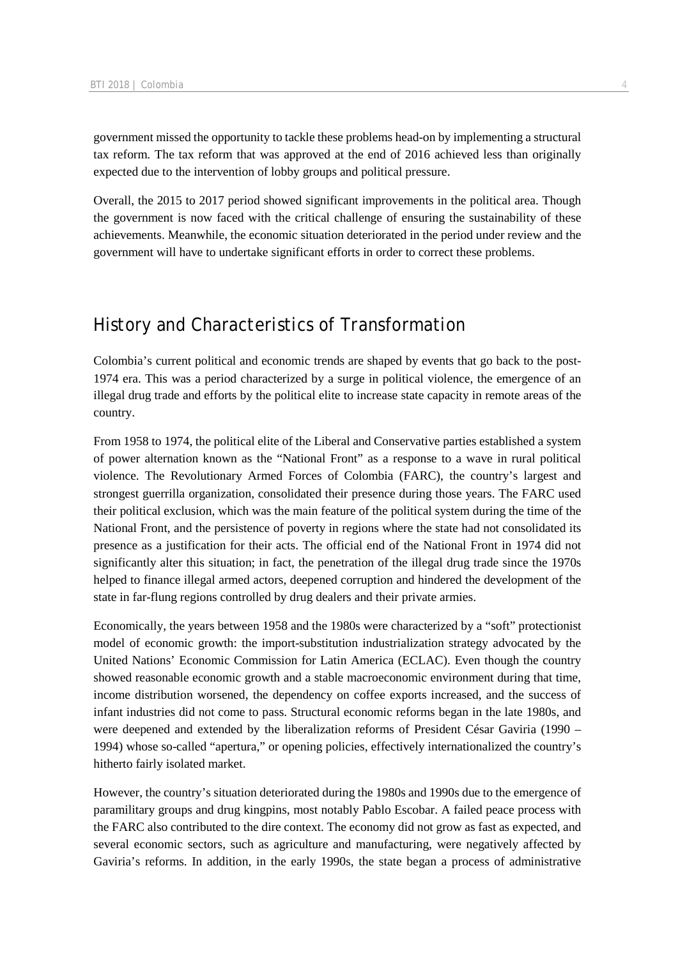government missed the opportunity to tackle these problems head-on by implementing a structural tax reform. The tax reform that was approved at the end of 2016 achieved less than originally expected due to the intervention of lobby groups and political pressure.

Overall, the 2015 to 2017 period showed significant improvements in the political area. Though the government is now faced with the critical challenge of ensuring the sustainability of these achievements. Meanwhile, the economic situation deteriorated in the period under review and the government will have to undertake significant efforts in order to correct these problems.

### History and Characteristics of Transformation

Colombia's current political and economic trends are shaped by events that go back to the post-1974 era. This was a period characterized by a surge in political violence, the emergence of an illegal drug trade and efforts by the political elite to increase state capacity in remote areas of the country.

From 1958 to 1974, the political elite of the Liberal and Conservative parties established a system of power alternation known as the "National Front" as a response to a wave in rural political violence. The Revolutionary Armed Forces of Colombia (FARC), the country's largest and strongest guerrilla organization, consolidated their presence during those years. The FARC used their political exclusion, which was the main feature of the political system during the time of the National Front, and the persistence of poverty in regions where the state had not consolidated its presence as a justification for their acts. The official end of the National Front in 1974 did not significantly alter this situation; in fact, the penetration of the illegal drug trade since the 1970s helped to finance illegal armed actors, deepened corruption and hindered the development of the state in far-flung regions controlled by drug dealers and their private armies.

Economically, the years between 1958 and the 1980s were characterized by a "soft" protectionist model of economic growth: the import-substitution industrialization strategy advocated by the United Nations' Economic Commission for Latin America (ECLAC). Even though the country showed reasonable economic growth and a stable macroeconomic environment during that time, income distribution worsened, the dependency on coffee exports increased, and the success of infant industries did not come to pass. Structural economic reforms began in the late 1980s, and were deepened and extended by the liberalization reforms of President César Gaviria (1990 – 1994) whose so-called "apertura," or opening policies, effectively internationalized the country's hitherto fairly isolated market.

However, the country's situation deteriorated during the 1980s and 1990s due to the emergence of paramilitary groups and drug kingpins, most notably Pablo Escobar. A failed peace process with the FARC also contributed to the dire context. The economy did not grow as fast as expected, and several economic sectors, such as agriculture and manufacturing, were negatively affected by Gaviria's reforms. In addition, in the early 1990s, the state began a process of administrative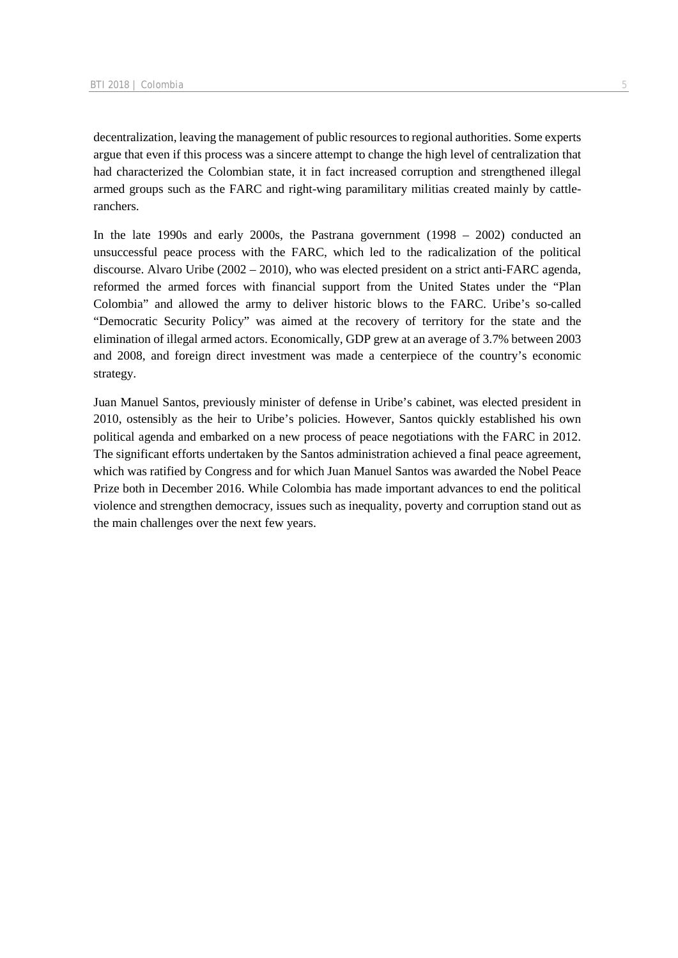decentralization, leaving the management of public resources to regional authorities. Some experts argue that even if this process was a sincere attempt to change the high level of centralization that had characterized the Colombian state, it in fact increased corruption and strengthened illegal armed groups such as the FARC and right-wing paramilitary militias created mainly by cattleranchers.

In the late 1990s and early 2000s, the Pastrana government (1998 – 2002) conducted an unsuccessful peace process with the FARC, which led to the radicalization of the political discourse. Alvaro Uribe (2002 – 2010), who was elected president on a strict anti-FARC agenda, reformed the armed forces with financial support from the United States under the "Plan Colombia" and allowed the army to deliver historic blows to the FARC. Uribe's so-called "Democratic Security Policy" was aimed at the recovery of territory for the state and the elimination of illegal armed actors. Economically, GDP grew at an average of 3.7% between 2003 and 2008, and foreign direct investment was made a centerpiece of the country's economic strategy.

Juan Manuel Santos, previously minister of defense in Uribe's cabinet, was elected president in 2010, ostensibly as the heir to Uribe's policies. However, Santos quickly established his own political agenda and embarked on a new process of peace negotiations with the FARC in 2012. The significant efforts undertaken by the Santos administration achieved a final peace agreement, which was ratified by Congress and for which Juan Manuel Santos was awarded the Nobel Peace Prize both in December 2016. While Colombia has made important advances to end the political violence and strengthen democracy, issues such as inequality, poverty and corruption stand out as the main challenges over the next few years.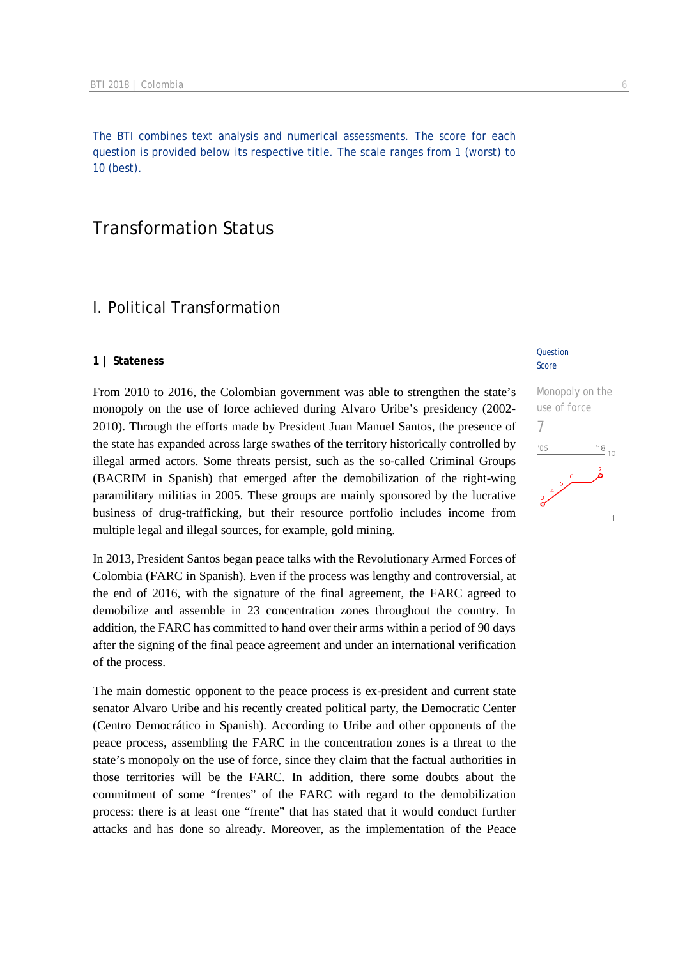The BTI combines text analysis and numerical assessments. The score for each question is provided below its respective title. The scale ranges from 1 (worst) to 10 (best).

### Transformation Status

### I. Political Transformation

### **1 | Stateness**

From 2010 to 2016, the Colombian government was able to strengthen the state's monopoly on the use of force achieved during Alvaro Uribe's presidency (2002- 2010). Through the efforts made by President Juan Manuel Santos, the presence of the state has expanded across large swathes of the territory historically controlled by illegal armed actors. Some threats persist, such as the so-called Criminal Groups (BACRIM in Spanish) that emerged after the demobilization of the right-wing paramilitary militias in 2005. These groups are mainly sponsored by the lucrative business of drug-trafficking, but their resource portfolio includes income from multiple legal and illegal sources, for example, gold mining.

In 2013, President Santos began peace talks with the Revolutionary Armed Forces of Colombia (FARC in Spanish). Even if the process was lengthy and controversial, at the end of 2016, with the signature of the final agreement, the FARC agreed to demobilize and assemble in 23 concentration zones throughout the country. In addition, the FARC has committed to hand over their arms within a period of 90 days after the signing of the final peace agreement and under an international verification of the process.

The main domestic opponent to the peace process is ex-president and current state senator Alvaro Uribe and his recently created political party, the Democratic Center (Centro Democrático in Spanish). According to Uribe and other opponents of the peace process, assembling the FARC in the concentration zones is a threat to the state's monopoly on the use of force, since they claim that the factual authorities in those territories will be the FARC. In addition, there some doubts about the commitment of some "frentes" of the FARC with regard to the demobilization process: there is at least one "frente" that has stated that it would conduct further attacks and has done so already. Moreover, as the implementation of the Peace

### **Question** Score

Monopoly on the use of force 7 $\frac{18}{10}$  10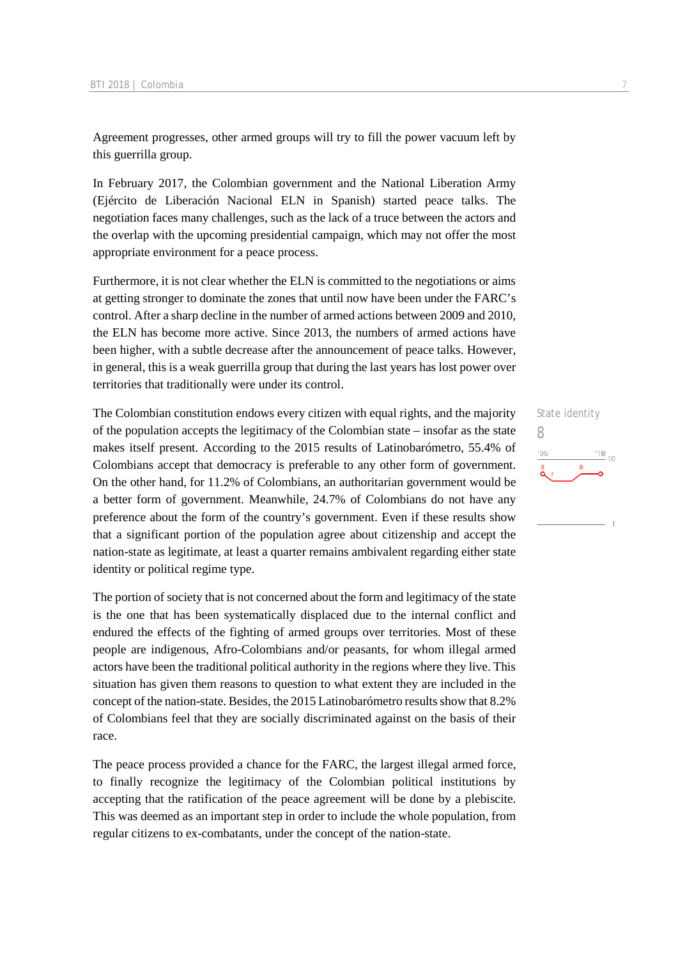Agreement progresses, other armed groups will try to fill the power vacuum left by this guerrilla group.

In February 2017, the Colombian government and the National Liberation Army (Ejército de Liberación Nacional ELN in Spanish) started peace talks. The negotiation faces many challenges, such as the lack of a truce between the actors and the overlap with the upcoming presidential campaign, which may not offer the most appropriate environment for a peace process.

Furthermore, it is not clear whether the ELN is committed to the negotiations or aims at getting stronger to dominate the zones that until now have been under the FARC's control. After a sharp decline in the number of armed actions between 2009 and 2010, the ELN has become more active. Since 2013, the numbers of armed actions have been higher, with a subtle decrease after the announcement of peace talks. However, in general, this is a weak guerrilla group that during the last years has lost power over territories that traditionally were under its control.

The Colombian constitution endows every citizen with equal rights, and the majority of the population accepts the legitimacy of the Colombian state – insofar as the state makes itself present. According to the 2015 results of Latinobarómetro, 55.4% of Colombians accept that democracy is preferable to any other form of government. On the other hand, for 11.2% of Colombians, an authoritarian government would be a better form of government. Meanwhile, 24.7% of Colombians do not have any preference about the form of the country's government. Even if these results show that a significant portion of the population agree about citizenship and accept the nation-state as legitimate, at least a quarter remains ambivalent regarding either state identity or political regime type.

The portion of society that is not concerned about the form and legitimacy of the state is the one that has been systematically displaced due to the internal conflict and endured the effects of the fighting of armed groups over territories. Most of these people are indigenous, Afro-Colombians and/or peasants, for whom illegal armed actors have been the traditional political authority in the regions where they live. This situation has given them reasons to question to what extent they are included in the concept of the nation-state. Besides, the 2015 Latinobarómetro results show that 8.2% of Colombians feel that they are socially discriminated against on the basis of their race.

The peace process provided a chance for the FARC, the largest illegal armed force, to finally recognize the legitimacy of the Colombian political institutions by accepting that the ratification of the peace agreement will be done by a plebiscite. This was deemed as an important step in order to include the whole population, from regular citizens to ex-combatants, under the concept of the nation-state.

### State identity 8 $\frac{18}{10}$  10  $-06$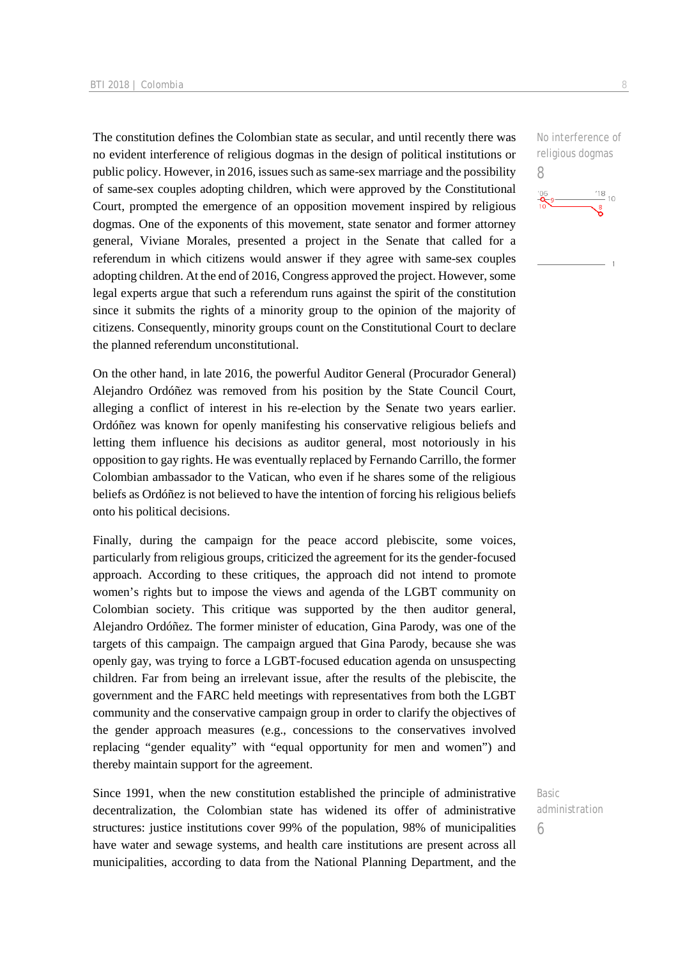The constitution defines the Colombian state as secular, and until recently there was no evident interference of religious dogmas in the design of political institutions or public policy. However, in 2016, issues such as same-sex marriage and the possibility of same-sex couples adopting children, which were approved by the Constitutional Court, prompted the emergence of an opposition movement inspired by religious dogmas. One of the exponents of this movement, state senator and former attorney general, Viviane Morales, presented a project in the Senate that called for a referendum in which citizens would answer if they agree with same-sex couples adopting children. At the end of 2016, Congress approved the project. However, some legal experts argue that such a referendum runs against the spirit of the constitution since it submits the rights of a minority group to the opinion of the majority of citizens. Consequently, minority groups count on the Constitutional Court to declare the planned referendum unconstitutional.

On the other hand, in late 2016, the powerful Auditor General (Procurador General) Alejandro Ordóñez was removed from his position by the State Council Court, alleging a conflict of interest in his re-election by the Senate two years earlier. Ordóñez was known for openly manifesting his conservative religious beliefs and letting them influence his decisions as auditor general, most notoriously in his opposition to gay rights. He was eventually replaced by Fernando Carrillo, the former Colombian ambassador to the Vatican, who even if he shares some of the religious beliefs as Ordóñez is not believed to have the intention of forcing his religious beliefs onto his political decisions.

Finally, during the campaign for the peace accord plebiscite, some voices, particularly from religious groups, criticized the agreement for its the gender-focused approach. According to these critiques, the approach did not intend to promote women's rights but to impose the views and agenda of the LGBT community on Colombian society. This critique was supported by the then auditor general, Alejandro Ordóñez. The former minister of education, Gina Parody, was one of the targets of this campaign. The campaign argued that Gina Parody, because she was openly gay, was trying to force a LGBT-focused education agenda on unsuspecting children. Far from being an irrelevant issue, after the results of the plebiscite, the government and the FARC held meetings with representatives from both the LGBT community and the conservative campaign group in order to clarify the objectives of the gender approach measures (e.g., concessions to the conservatives involved replacing "gender equality" with "equal opportunity for men and women") and thereby maintain support for the agreement.

Since 1991, when the new constitution established the principle of administrative decentralization, the Colombian state has widened its offer of administrative structures: justice institutions cover 99% of the population, 98% of municipalities have water and sewage systems, and health care institutions are present across all municipalities, according to data from the National Planning Department, and the

No interference of religious dogmas 8

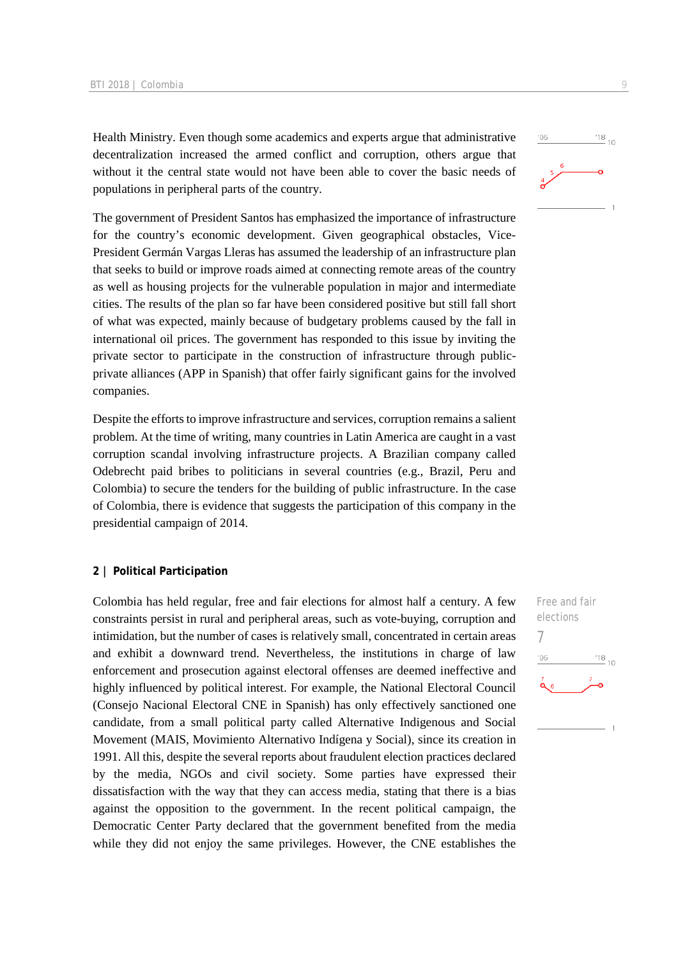Health Ministry. Even though some academics and experts argue that administrative decentralization increased the armed conflict and corruption, others argue that without it the central state would not have been able to cover the basic needs of populations in peripheral parts of the country.

The government of President Santos has emphasized the importance of infrastructure for the country's economic development. Given geographical obstacles, Vice-President Germán Vargas Lleras has assumed the leadership of an infrastructure plan that seeks to build or improve roads aimed at connecting remote areas of the country as well as housing projects for the vulnerable population in major and intermediate cities. The results of the plan so far have been considered positive but still fall short of what was expected, mainly because of budgetary problems caused by the fall in international oil prices. The government has responded to this issue by inviting the private sector to participate in the construction of infrastructure through publicprivate alliances (APP in Spanish) that offer fairly significant gains for the involved companies.

Despite the efforts to improve infrastructure and services, corruption remains a salient problem. At the time of writing, many countries in Latin America are caught in a vast corruption scandal involving infrastructure projects. A Brazilian company called Odebrecht paid bribes to politicians in several countries (e.g., Brazil, Peru and Colombia) to secure the tenders for the building of public infrastructure. In the case of Colombia, there is evidence that suggests the participation of this company in the presidential campaign of 2014.

### **2 | Political Participation**

Colombia has held regular, free and fair elections for almost half a century. A few constraints persist in rural and peripheral areas, such as vote-buying, corruption and intimidation, but the number of cases is relatively small, concentrated in certain areas and exhibit a downward trend. Nevertheless, the institutions in charge of law enforcement and prosecution against electoral offenses are deemed ineffective and highly influenced by political interest. For example, the National Electoral Council (Consejo Nacional Electoral CNE in Spanish) has only effectively sanctioned one candidate, from a small political party called Alternative Indigenous and Social Movement (MAIS, Movimiento Alternativo Indígena y Social), since its creation in 1991. All this, despite the several reports about fraudulent election practices declared by the media, NGOs and civil society. Some parties have expressed their dissatisfaction with the way that they can access media, stating that there is a bias against the opposition to the government. In the recent political campaign, the Democratic Center Party declared that the government benefited from the media while they did not enjoy the same privileges. However, the CNE establishes the

Free and fair elections 7 $^{18}_{-10}$  $06'$ 

# $\frac{18}{10}$  10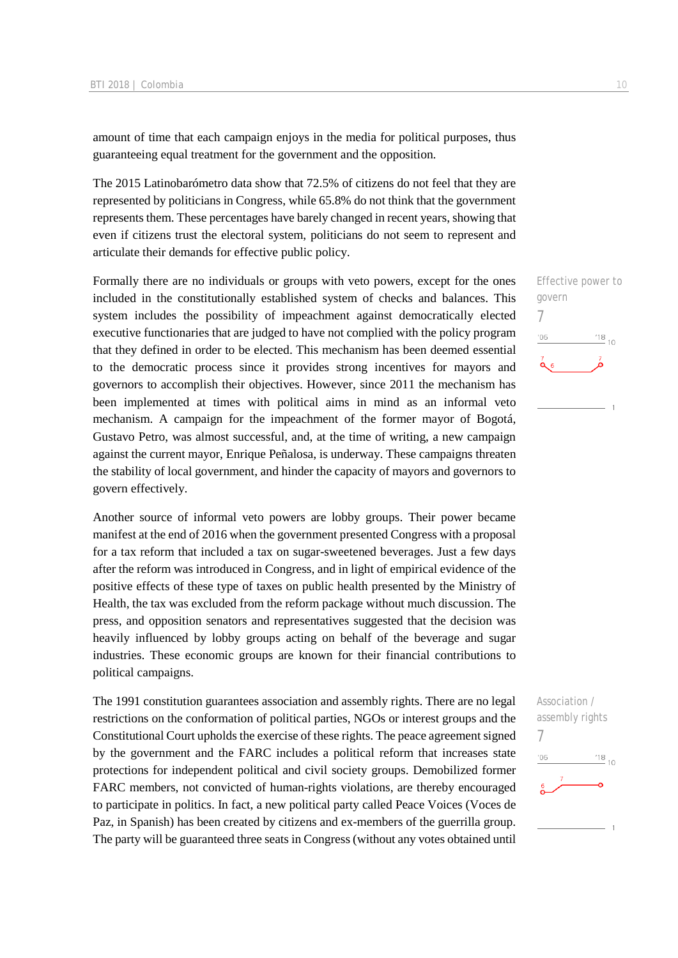amount of time that each campaign enjoys in the media for political purposes, thus guaranteeing equal treatment for the government and the opposition.

The 2015 Latinobarómetro data show that 72.5% of citizens do not feel that they are represented by politicians in Congress, while 65.8% do not think that the government represents them. These percentages have barely changed in recent years, showing that even if citizens trust the electoral system, politicians do not seem to represent and articulate their demands for effective public policy.

Formally there are no individuals or groups with veto powers, except for the ones included in the constitutionally established system of checks and balances. This system includes the possibility of impeachment against democratically elected executive functionaries that are judged to have not complied with the policy program that they defined in order to be elected. This mechanism has been deemed essential to the democratic process since it provides strong incentives for mayors and governors to accomplish their objectives. However, since 2011 the mechanism has been implemented at times with political aims in mind as an informal veto mechanism. A campaign for the impeachment of the former mayor of Bogotá, Gustavo Petro, was almost successful, and, at the time of writing, a new campaign against the current mayor, Enrique Peñalosa, is underway. These campaigns threaten the stability of local government, and hinder the capacity of mayors and governors to govern effectively.

Another source of informal veto powers are lobby groups. Their power became manifest at the end of 2016 when the government presented Congress with a proposal for a tax reform that included a tax on sugar-sweetened beverages. Just a few days after the reform was introduced in Congress, and in light of empirical evidence of the positive effects of these type of taxes on public health presented by the Ministry of Health, the tax was excluded from the reform package without much discussion. The press, and opposition senators and representatives suggested that the decision was heavily influenced by lobby groups acting on behalf of the beverage and sugar industries. These economic groups are known for their financial contributions to political campaigns.

The 1991 constitution guarantees association and assembly rights. There are no legal restrictions on the conformation of political parties, NGOs or interest groups and the Constitutional Court upholds the exercise of these rights. The peace agreement signed by the government and the FARC includes a political reform that increases state protections for independent political and civil society groups. Demobilized former FARC members, not convicted of human-rights violations, are thereby encouraged to participate in politics. In fact, a new political party called Peace Voices (Voces de Paz, in Spanish) has been created by citizens and ex-members of the guerrilla group. The party will be guaranteed three seats in Congress (without any votes obtained until



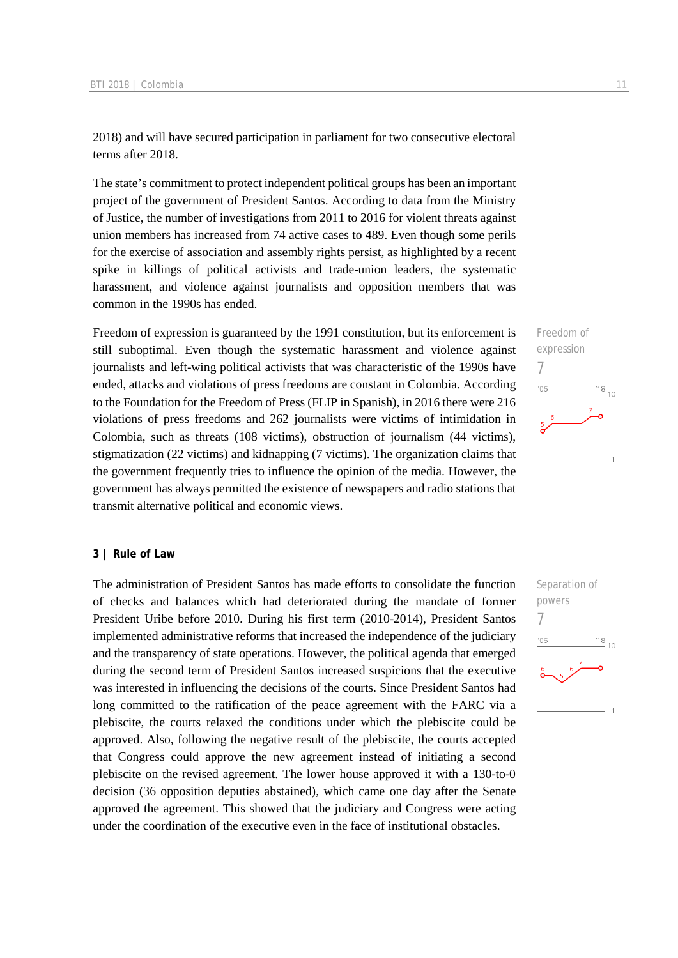2018) and will have secured participation in parliament for two consecutive electoral terms after 2018.

The state's commitment to protect independent political groups has been an important project of the government of President Santos. According to data from the Ministry of Justice, the number of investigations from 2011 to 2016 for violent threats against union members has increased from 74 active cases to 489. Even though some perils for the exercise of association and assembly rights persist, as highlighted by a recent spike in killings of political activists and trade-union leaders, the systematic harassment, and violence against journalists and opposition members that was common in the 1990s has ended.

Freedom of expression is guaranteed by the 1991 constitution, but its enforcement is still suboptimal. Even though the systematic harassment and violence against journalists and left-wing political activists that was characteristic of the 1990s have ended, attacks and violations of press freedoms are constant in Colombia. According to the Foundation for the Freedom of Press (FLIP in Spanish), in 2016 there were 216 violations of press freedoms and 262 journalists were victims of intimidation in Colombia, such as threats (108 victims), obstruction of journalism (44 victims), stigmatization (22 victims) and kidnapping (7 victims). The organization claims that the government frequently tries to influence the opinion of the media. However, the government has always permitted the existence of newspapers and radio stations that transmit alternative political and economic views.

### **3 | Rule of Law**

The administration of President Santos has made efforts to consolidate the function of checks and balances which had deteriorated during the mandate of former President Uribe before 2010. During his first term (2010-2014), President Santos implemented administrative reforms that increased the independence of the judiciary and the transparency of state operations. However, the political agenda that emerged during the second term of President Santos increased suspicions that the executive was interested in influencing the decisions of the courts. Since President Santos had long committed to the ratification of the peace agreement with the FARC via a plebiscite, the courts relaxed the conditions under which the plebiscite could be approved. Also, following the negative result of the plebiscite, the courts accepted that Congress could approve the new agreement instead of initiating a second plebiscite on the revised agreement. The lower house approved it with a 130-to-0 decision (36 opposition deputies abstained), which came one day after the Senate approved the agreement. This showed that the judiciary and Congress were acting under the coordination of the executive even in the face of institutional obstacles.



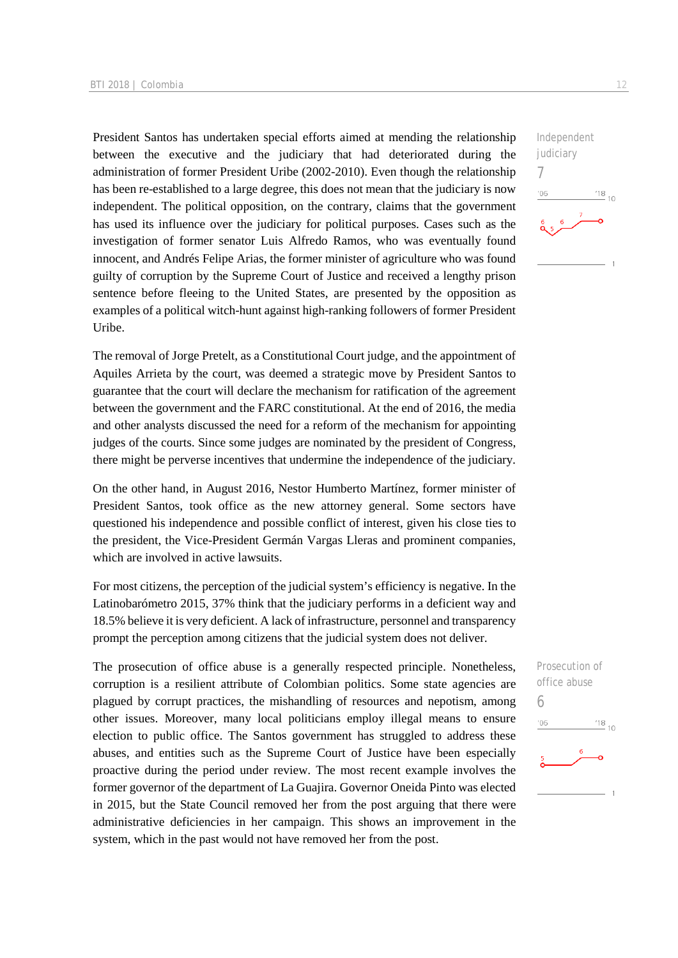President Santos has undertaken special efforts aimed at mending the relationship between the executive and the judiciary that had deteriorated during the administration of former President Uribe (2002-2010). Even though the relationship has been re-established to a large degree, this does not mean that the judiciary is now independent. The political opposition, on the contrary, claims that the government has used its influence over the judiciary for political purposes. Cases such as the investigation of former senator Luis Alfredo Ramos, who was eventually found innocent, and Andrés Felipe Arias, the former minister of agriculture who was found guilty of corruption by the Supreme Court of Justice and received a lengthy prison sentence before fleeing to the United States, are presented by the opposition as examples of a political witch-hunt against high-ranking followers of former President Uribe.

The removal of Jorge Pretelt, as a Constitutional Court judge, and the appointment of Aquiles Arrieta by the court, was deemed a strategic move by President Santos to guarantee that the court will declare the mechanism for ratification of the agreement between the government and the FARC constitutional. At the end of 2016, the media and other analysts discussed the need for a reform of the mechanism for appointing judges of the courts. Since some judges are nominated by the president of Congress, there might be perverse incentives that undermine the independence of the judiciary.

On the other hand, in August 2016, Nestor Humberto Martínez, former minister of President Santos, took office as the new attorney general. Some sectors have questioned his independence and possible conflict of interest, given his close ties to the president, the Vice-President Germán Vargas Lleras and prominent companies, which are involved in active lawsuits.

For most citizens, the perception of the judicial system's efficiency is negative. In the Latinobarómetro 2015, 37% think that the judiciary performs in a deficient way and 18.5% believe it is very deficient. A lack of infrastructure, personnel and transparency prompt the perception among citizens that the judicial system does not deliver.

The prosecution of office abuse is a generally respected principle. Nonetheless, corruption is a resilient attribute of Colombian politics. Some state agencies are plagued by corrupt practices, the mishandling of resources and nepotism, among other issues. Moreover, many local politicians employ illegal means to ensure election to public office. The Santos government has struggled to address these abuses, and entities such as the Supreme Court of Justice have been especially proactive during the period under review. The most recent example involves the former governor of the department of La Guajira. Governor Oneida Pinto was elected in 2015, but the State Council removed her from the post arguing that there were administrative deficiencies in her campaign. This shows an improvement in the system, which in the past would not have removed her from the post.



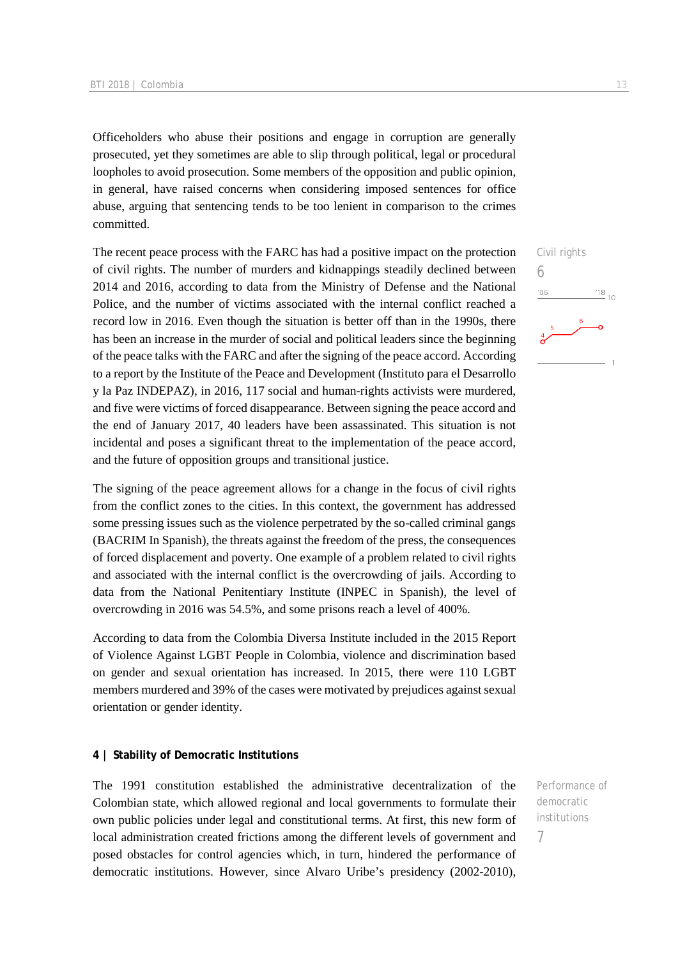Officeholders who abuse their positions and engage in corruption are generally prosecuted, yet they sometimes are able to slip through political, legal or procedural loopholes to avoid prosecution. Some members of the opposition and public opinion, in general, have raised concerns when considering imposed sentences for office abuse, arguing that sentencing tends to be too lenient in comparison to the crimes committed.

The recent peace process with the FARC has had a positive impact on the protection of civil rights. The number of murders and kidnappings steadily declined between 2014 and 2016, according to data from the Ministry of Defense and the National Police, and the number of victims associated with the internal conflict reached a record low in 2016. Even though the situation is better off than in the 1990s, there has been an increase in the murder of social and political leaders since the beginning of the peace talks with the FARC and after the signing of the peace accord. According to a report by the Institute of the Peace and Development (Instituto para el Desarrollo y la Paz INDEPAZ), in 2016, 117 social and human-rights activists were murdered, and five were victims of forced disappearance. Between signing the peace accord and the end of January 2017, 40 leaders have been assassinated. This situation is not incidental and poses a significant threat to the implementation of the peace accord, and the future of opposition groups and transitional justice.

The signing of the peace agreement allows for a change in the focus of civil rights from the conflict zones to the cities. In this context, the government has addressed some pressing issues such as the violence perpetrated by the so-called criminal gangs (BACRIM In Spanish), the threats against the freedom of the press, the consequences of forced displacement and poverty. One example of a problem related to civil rights and associated with the internal conflict is the overcrowding of jails. According to data from the National Penitentiary Institute (INPEC in Spanish), the level of overcrowding in 2016 was 54.5%, and some prisons reach a level of 400%.

According to data from the Colombia Diversa Institute included in the 2015 Report of Violence Against LGBT People in Colombia, violence and discrimination based on gender and sexual orientation has increased. In 2015, there were 110 LGBT members murdered and 39% of the cases were motivated by prejudices against sexual orientation or gender identity.

### **4 | Stability of Democratic Institutions**

The 1991 constitution established the administrative decentralization of the Colombian state, which allowed regional and local governments to formulate their own public policies under legal and constitutional terms. At first, this new form of local administration created frictions among the different levels of government and posed obstacles for control agencies which, in turn, hindered the performance of democratic institutions. However, since Alvaro Uribe's presidency (2002-2010),

Performance of democratic institutions

7

Civil rights 6  $106$  $\frac{18}{10}$  10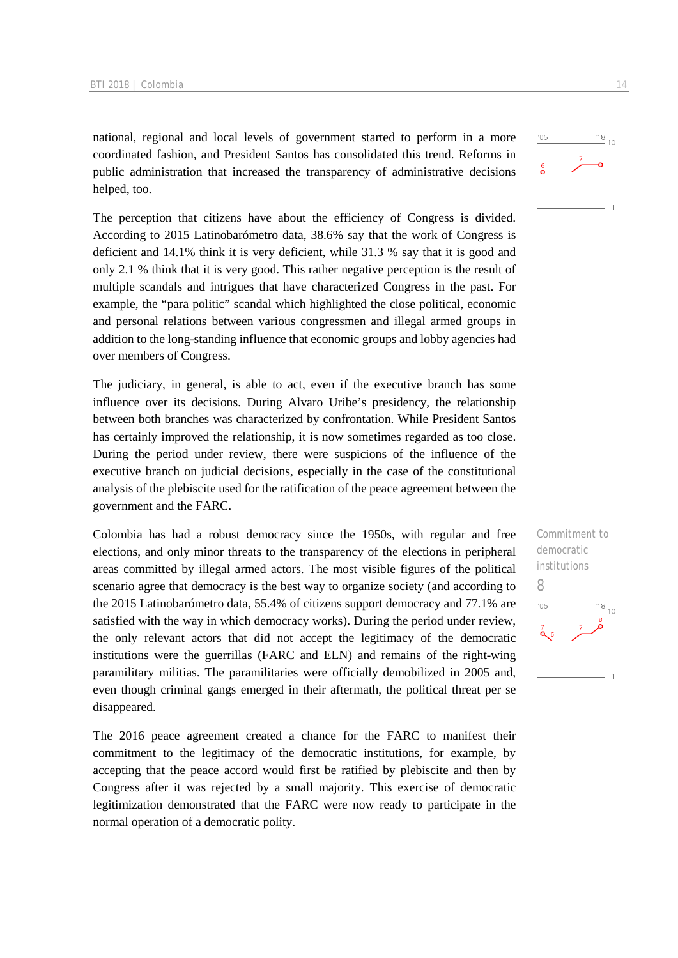national, regional and local levels of government started to perform in a more coordinated fashion, and President Santos has consolidated this trend. Reforms in public administration that increased the transparency of administrative decisions helped, too.

The perception that citizens have about the efficiency of Congress is divided. According to 2015 Latinobarómetro data, 38.6% say that the work of Congress is deficient and 14.1% think it is very deficient, while 31.3 % say that it is good and only 2.1 % think that it is very good. This rather negative perception is the result of multiple scandals and intrigues that have characterized Congress in the past. For example, the "para politic" scandal which highlighted the close political, economic and personal relations between various congressmen and illegal armed groups in addition to the long-standing influence that economic groups and lobby agencies had over members of Congress.

The judiciary, in general, is able to act, even if the executive branch has some influence over its decisions. During Alvaro Uribe's presidency, the relationship between both branches was characterized by confrontation. While President Santos has certainly improved the relationship, it is now sometimes regarded as too close. During the period under review, there were suspicions of the influence of the executive branch on judicial decisions, especially in the case of the constitutional analysis of the plebiscite used for the ratification of the peace agreement between the government and the FARC.

Colombia has had a robust democracy since the 1950s, with regular and free elections, and only minor threats to the transparency of the elections in peripheral areas committed by illegal armed actors. The most visible figures of the political scenario agree that democracy is the best way to organize society (and according to the 2015 Latinobarómetro data, 55.4% of citizens support democracy and 77.1% are satisfied with the way in which democracy works). During the period under review, the only relevant actors that did not accept the legitimacy of the democratic institutions were the guerrillas (FARC and ELN) and remains of the right-wing paramilitary militias. The paramilitaries were officially demobilized in 2005 and, even though criminal gangs emerged in their aftermath, the political threat per se disappeared.

The 2016 peace agreement created a chance for the FARC to manifest their commitment to the legitimacy of the democratic institutions, for example, by accepting that the peace accord would first be ratified by plebiscite and then by Congress after it was rejected by a small majority. This exercise of democratic legitimization demonstrated that the FARC were now ready to participate in the normal operation of a democratic polity.



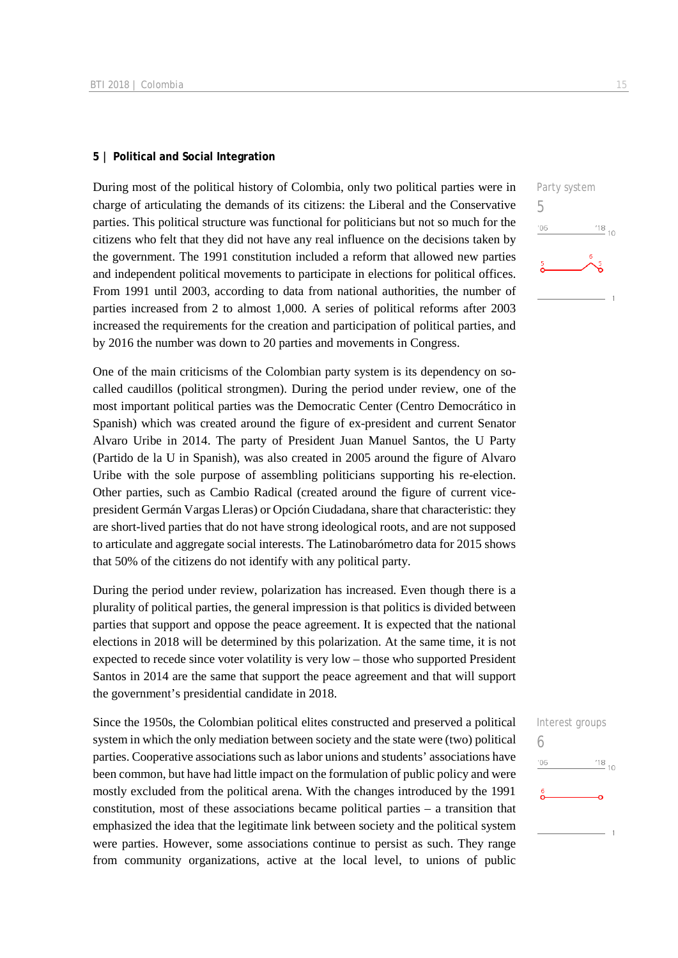### **5 | Political and Social Integration**

During most of the political history of Colombia, only two political parties were in charge of articulating the demands of its citizens: the Liberal and the Conservative parties. This political structure was functional for politicians but not so much for the citizens who felt that they did not have any real influence on the decisions taken by the government. The 1991 constitution included a reform that allowed new parties and independent political movements to participate in elections for political offices. From 1991 until 2003, according to data from national authorities, the number of parties increased from 2 to almost 1,000. A series of political reforms after 2003 increased the requirements for the creation and participation of political parties, and by 2016 the number was down to 20 parties and movements in Congress.

One of the main criticisms of the Colombian party system is its dependency on socalled caudillos (political strongmen). During the period under review, one of the most important political parties was the Democratic Center (Centro Democrático in Spanish) which was created around the figure of ex-president and current Senator Alvaro Uribe in 2014. The party of President Juan Manuel Santos, the U Party (Partido de la U in Spanish), was also created in 2005 around the figure of Alvaro Uribe with the sole purpose of assembling politicians supporting his re-election. Other parties, such as Cambio Radical (created around the figure of current vicepresident Germán Vargas Lleras) or Opción Ciudadana, share that characteristic: they are short-lived parties that do not have strong ideological roots, and are not supposed to articulate and aggregate social interests. The Latinobarómetro data for 2015 shows that 50% of the citizens do not identify with any political party.

During the period under review, polarization has increased. Even though there is a plurality of political parties, the general impression is that politics is divided between parties that support and oppose the peace agreement. It is expected that the national elections in 2018 will be determined by this polarization. At the same time, it is not expected to recede since voter volatility is very low – those who supported President Santos in 2014 are the same that support the peace agreement and that will support the government's presidential candidate in 2018.

Since the 1950s, the Colombian political elites constructed and preserved a political system in which the only mediation between society and the state were (two) political parties. Cooperative associations such as labor unions and students' associations have been common, but have had little impact on the formulation of public policy and were mostly excluded from the political arena. With the changes introduced by the 1991 constitution, most of these associations became political parties – a transition that emphasized the idea that the legitimate link between society and the political system were parties. However, some associations continue to persist as such. They range from community organizations, active at the local level, to unions of public



 $\frac{18}{10}$  10

Party system

5

 $06'$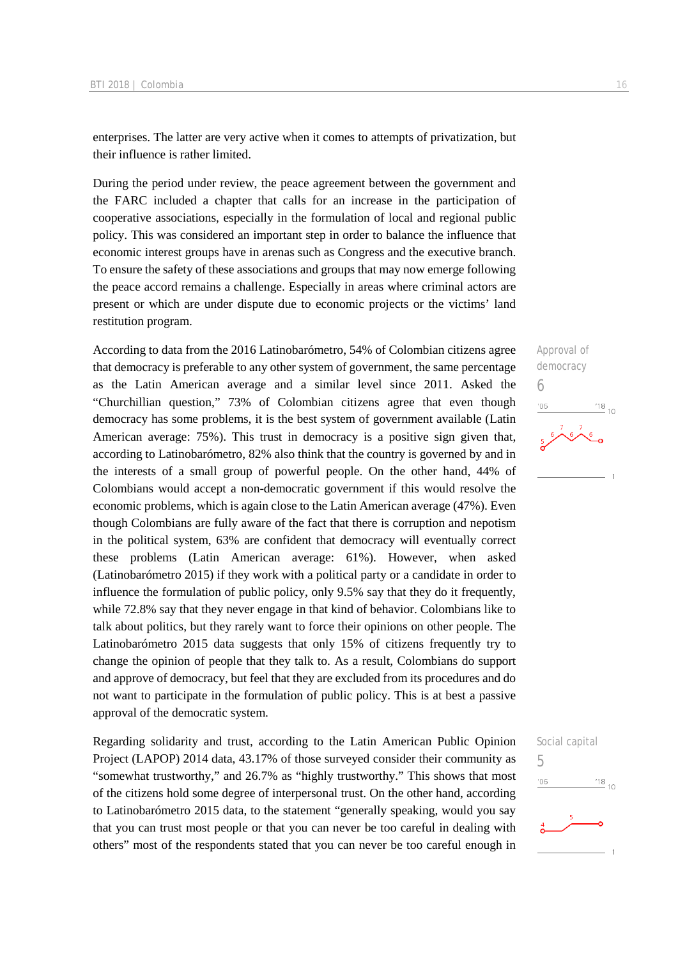enterprises. The latter are very active when it comes to attempts of privatization, but their influence is rather limited.

During the period under review, the peace agreement between the government and the FARC included a chapter that calls for an increase in the participation of cooperative associations, especially in the formulation of local and regional public policy. This was considered an important step in order to balance the influence that economic interest groups have in arenas such as Congress and the executive branch. To ensure the safety of these associations and groups that may now emerge following the peace accord remains a challenge. Especially in areas where criminal actors are present or which are under dispute due to economic projects or the victims' land restitution program.

According to data from the 2016 Latinobarómetro, 54% of Colombian citizens agree that democracy is preferable to any other system of government, the same percentage as the Latin American average and a similar level since 2011. Asked the "Churchillian question," 73% of Colombian citizens agree that even though democracy has some problems, it is the best system of government available (Latin American average: 75%). This trust in democracy is a positive sign given that, according to Latinobarómetro, 82% also think that the country is governed by and in the interests of a small group of powerful people. On the other hand, 44% of Colombians would accept a non-democratic government if this would resolve the economic problems, which is again close to the Latin American average (47%). Even though Colombians are fully aware of the fact that there is corruption and nepotism in the political system, 63% are confident that democracy will eventually correct these problems (Latin American average: 61%). However, when asked (Latinobarómetro 2015) if they work with a political party or a candidate in order to influence the formulation of public policy, only 9.5% say that they do it frequently, while 72.8% say that they never engage in that kind of behavior. Colombians like to talk about politics, but they rarely want to force their opinions on other people. The Latinobarómetro 2015 data suggests that only 15% of citizens frequently try to change the opinion of people that they talk to. As a result, Colombians do support and approve of democracy, but feel that they are excluded from its procedures and do not want to participate in the formulation of public policy. This is at best a passive approval of the democratic system.

Regarding solidarity and trust, according to the Latin American Public Opinion Project (LAPOP) 2014 data, 43.17% of those surveyed consider their community as "somewhat trustworthy," and 26.7% as "highly trustworthy." This shows that most of the citizens hold some degree of interpersonal trust. On the other hand, according to Latinobarómetro 2015 data, to the statement "generally speaking, would you say that you can trust most people or that you can never be too careful in dealing with others" most of the respondents stated that you can never be too careful enough in



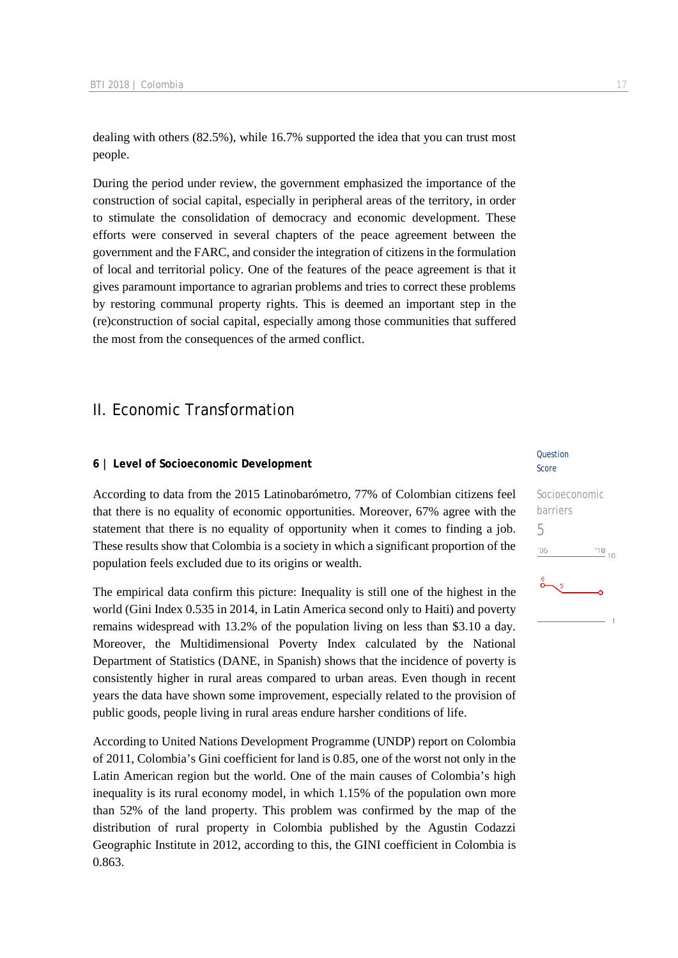dealing with others (82.5%), while 16.7% supported the idea that you can trust most people.

During the period under review, the government emphasized the importance of the construction of social capital, especially in peripheral areas of the territory, in order to stimulate the consolidation of democracy and economic development. These efforts were conserved in several chapters of the peace agreement between the government and the FARC, and consider the integration of citizens in the formulation of local and territorial policy. One of the features of the peace agreement is that it gives paramount importance to agrarian problems and tries to correct these problems by restoring communal property rights. This is deemed an important step in the (re)construction of social capital, especially among those communities that suffered the most from the consequences of the armed conflict.

### II. Economic Transformation

### **6 | Level of Socioeconomic Development**

According to data from the 2015 Latinobarómetro, 77% of Colombian citizens feel that there is no equality of economic opportunities. Moreover, 67% agree with the statement that there is no equality of opportunity when it comes to finding a job. These results show that Colombia is a society in which a significant proportion of the population feels excluded due to its origins or wealth.

The empirical data confirm this picture: Inequality is still one of the highest in the world (Gini Index 0.535 in 2014, in Latin America second only to Haiti) and poverty remains widespread with 13.2% of the population living on less than \$3.10 a day. Moreover, the Multidimensional Poverty Index calculated by the National Department of Statistics (DANE, in Spanish) shows that the incidence of poverty is consistently higher in rural areas compared to urban areas. Even though in recent years the data have shown some improvement, especially related to the provision of public goods, people living in rural areas endure harsher conditions of life.

According to United Nations Development Programme (UNDP) report on Colombia of 2011, Colombia's Gini coefficient for land is 0.85, one of the worst not only in the Latin American region but the world. One of the main causes of Colombia's high inequality is its rural economy model, in which 1.15% of the population own more than 52% of the land property. This problem was confirmed by the map of the distribution of rural property in Colombia published by the Agustin Codazzi Geographic Institute in 2012, according to this, the GINI coefficient in Colombia is 0.863.

#### Question Score

### Socioeconomic barriers 5 $^{18}_{-10}$  $06'$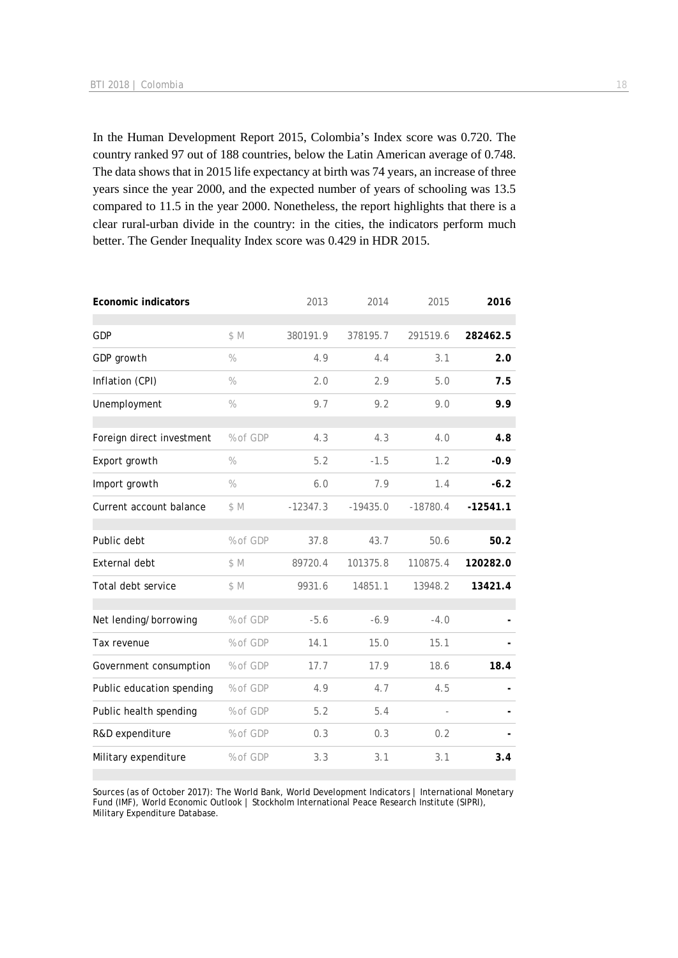In the Human Development Report 2015, Colombia's Index score was 0.720. The country ranked 97 out of 188 countries, below the Latin American average of 0.748. The data shows that in 2015 life expectancy at birth was 74 years, an increase of three years since the year 2000, and the expected number of years of schooling was 13.5 compared to 11.5 in the year 2000. Nonetheless, the report highlights that there is a clear rural-urban divide in the country: in the cities, the indicators perform much better. The Gender Inequality Index score was 0.429 in HDR 2015.

| <b>Economic indicators</b> |               | 2013       | 2014       | 2015          | 2016       |
|----------------------------|---------------|------------|------------|---------------|------------|
| <b>GDP</b>                 | \$M           | 380191.9   | 378195.7   | 291519.6      | 282462.5   |
| GDP growth                 | $\%$          | 4.9        | 4.4        | 3.1           | 2.0        |
| Inflation (CPI)            | $\%$          | 2.0        | 2.9        | 5.0           | 7.5        |
| Unemployment               | $\frac{0}{0}$ | 9.7        | 9.2        | 9.0           | 9.9        |
| Foreign direct investment  | % of GDP      | 4.3        | 4.3        | 4.0           | 4.8        |
| Export growth              | $\%$          | 5.2        | $-1.5$     | 1.2           | $-0.9$     |
| Import growth              | $\%$          | 6.0        | 7.9        | 1.4           | $-6.2$     |
| Current account balance    | \$M           | $-12347.3$ | $-19435.0$ | $-18780.4$    | $-12541.1$ |
| Public debt                | % of GDP      | 37.8       | 43.7       | 50.6          | 50.2       |
| External debt              | \$M           | 89720.4    | 101375.8   | 110875.4      | 120282.0   |
| Total debt service         | \$M           | 9931.6     | 14851.1    | 13948.2       | 13421.4    |
| Net lending/borrowing      | % of GDP      | $-5.6$     | $-6.9$     | $-4.0$        |            |
| Tax revenue                | % of GDP      | 14.1       | 15.0       | 15.1          |            |
| Government consumption     | % of GDP      | 17.7       | 17.9       | 18.6          | 18.4       |
| Public education spending  | % of GDP      | 4.9        | 4.7        | 4.5           |            |
| Public health spending     | % of GDP      | 5.2        | 5.4        | $\frac{1}{2}$ |            |
| R&D expenditure            | % of GDP      | 0.3        | 0.3        | 0.2           |            |
| Military expenditure       | % of GDP      | 3.3        | 3.1        | 3.1           | 3.4        |

Sources (as of October 2017): The World Bank, World Development Indicators | International Monetary Fund (IMF), World Economic Outlook | Stockholm International Peace Research Institute (SIPRI), Military Expenditure Database.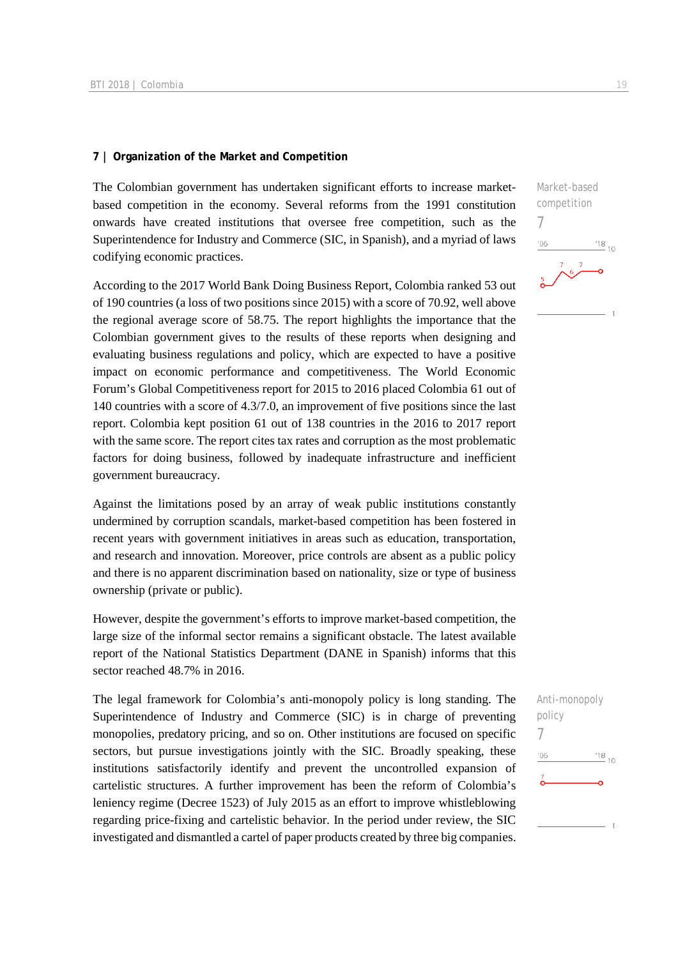### **7 | Organization of the Market and Competition**

The Colombian government has undertaken significant efforts to increase marketbased competition in the economy. Several reforms from the 1991 constitution onwards have created institutions that oversee free competition, such as the Superintendence for Industry and Commerce (SIC, in Spanish), and a myriad of laws codifying economic practices.

According to the 2017 World Bank Doing Business Report, Colombia ranked 53 out of 190 countries (a loss of two positions since 2015) with a score of 70.92, well above the regional average score of 58.75. The report highlights the importance that the Colombian government gives to the results of these reports when designing and evaluating business regulations and policy, which are expected to have a positive impact on economic performance and competitiveness. The World Economic Forum's Global Competitiveness report for 2015 to 2016 placed Colombia 61 out of 140 countries with a score of 4.3/7.0, an improvement of five positions since the last report. Colombia kept position 61 out of 138 countries in the 2016 to 2017 report with the same score. The report cites tax rates and corruption as the most problematic factors for doing business, followed by inadequate infrastructure and inefficient government bureaucracy.

Against the limitations posed by an array of weak public institutions constantly undermined by corruption scandals, market-based competition has been fostered in recent years with government initiatives in areas such as education, transportation, and research and innovation. Moreover, price controls are absent as a public policy and there is no apparent discrimination based on nationality, size or type of business ownership (private or public).

However, despite the government's efforts to improve market-based competition, the large size of the informal sector remains a significant obstacle. The latest available report of the National Statistics Department (DANE in Spanish) informs that this sector reached 48.7% in 2016.

The legal framework for Colombia's anti-monopoly policy is long standing. The Superintendence of Industry and Commerce (SIC) is in charge of preventing monopolies, predatory pricing, and so on. Other institutions are focused on specific sectors, but pursue investigations jointly with the SIC. Broadly speaking, these institutions satisfactorily identify and prevent the uncontrolled expansion of cartelistic structures. A further improvement has been the reform of Colombia's leniency regime (Decree 1523) of July 2015 as an effort to improve whistleblowing regarding price-fixing and cartelistic behavior. In the period under review, the SIC investigated and dismantled a cartel of paper products created by three big companies.

Market-based competition 7  $06'$  $^{18}_{-10}$ 

### Anti-monopoly policy 7 $'06$  $^{18}_{-10}$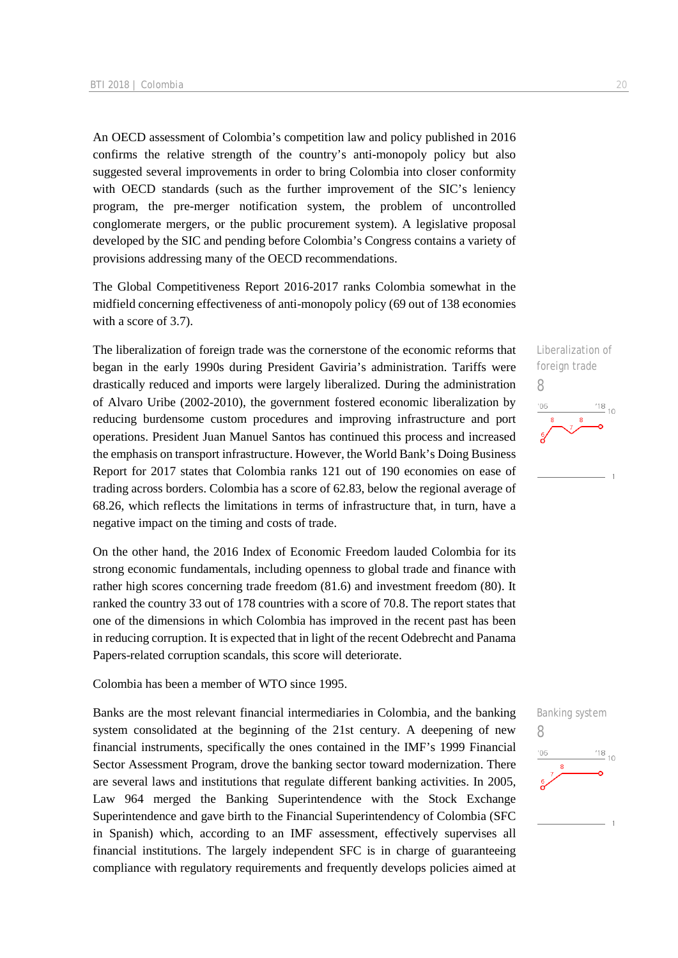An OECD assessment of Colombia's competition law and policy published in 2016 confirms the relative strength of the country's anti-monopoly policy but also suggested several improvements in order to bring Colombia into closer conformity with OECD standards (such as the further improvement of the SIC's leniency program, the pre-merger notification system, the problem of uncontrolled conglomerate mergers, or the public procurement system). A legislative proposal developed by the SIC and pending before Colombia's Congress contains a variety of provisions addressing many of the OECD recommendations.

The Global Competitiveness Report 2016-2017 ranks Colombia somewhat in the midfield concerning effectiveness of anti-monopoly policy (69 out of 138 economies with a score of 3.7).

The liberalization of foreign trade was the cornerstone of the economic reforms that began in the early 1990s during President Gaviria's administration. Tariffs were drastically reduced and imports were largely liberalized. During the administration of Alvaro Uribe (2002-2010), the government fostered economic liberalization by reducing burdensome custom procedures and improving infrastructure and port operations. President Juan Manuel Santos has continued this process and increased the emphasis on transport infrastructure. However, the World Bank's Doing Business Report for 2017 states that Colombia ranks 121 out of 190 economies on ease of trading across borders. Colombia has a score of 62.83, below the regional average of 68.26, which reflects the limitations in terms of infrastructure that, in turn, have a negative impact on the timing and costs of trade.

On the other hand, the 2016 Index of Economic Freedom lauded Colombia for its strong economic fundamentals, including openness to global trade and finance with rather high scores concerning trade freedom (81.6) and investment freedom (80). It ranked the country 33 out of 178 countries with a score of 70.8. The report states that one of the dimensions in which Colombia has improved in the recent past has been in reducing corruption. It is expected that in light of the recent Odebrecht and Panama Papers-related corruption scandals, this score will deteriorate.

Colombia has been a member of WTO since 1995.

Banks are the most relevant financial intermediaries in Colombia, and the banking system consolidated at the beginning of the 21st century. A deepening of new financial instruments, specifically the ones contained in the IMF's 1999 Financial Sector Assessment Program, drove the banking sector toward modernization. There are several laws and institutions that regulate different banking activities. In 2005, Law 964 merged the Banking Superintendence with the Stock Exchange Superintendence and gave birth to the Financial Superintendency of Colombia (SFC in Spanish) which, according to an IMF assessment, effectively supervises all financial institutions. The largely independent SFC is in charge of guaranteeing compliance with regulatory requirements and frequently develops policies aimed at



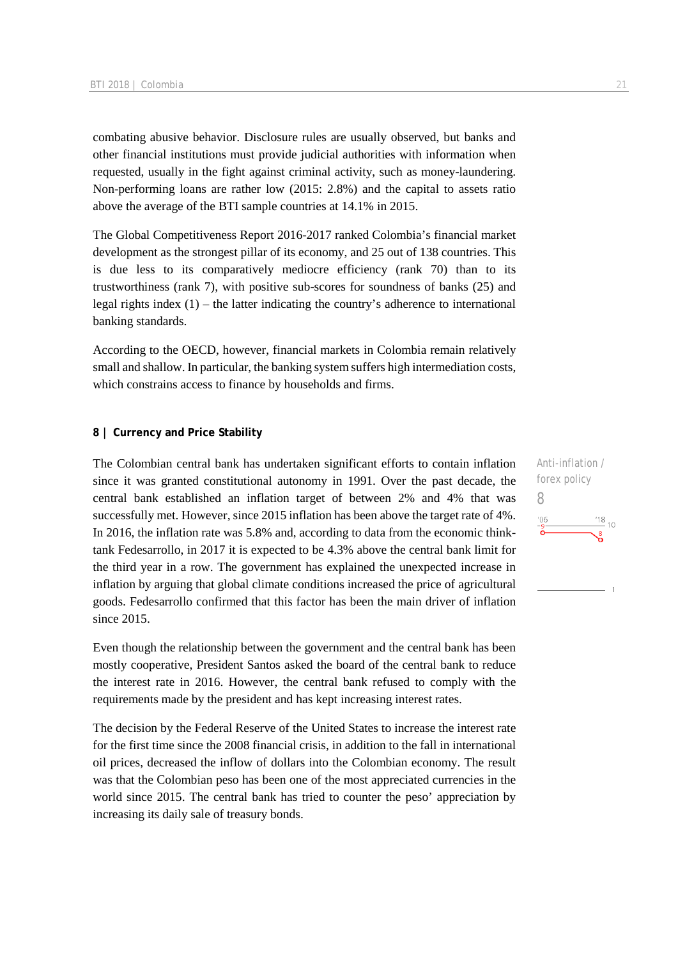combating abusive behavior. Disclosure rules are usually observed, but banks and other financial institutions must provide judicial authorities with information when requested, usually in the fight against criminal activity, such as money-laundering. Non-performing loans are rather low (2015: 2.8%) and the capital to assets ratio above the average of the BTI sample countries at 14.1% in 2015.

The Global Competitiveness Report 2016-2017 ranked Colombia's financial market development as the strongest pillar of its economy, and 25 out of 138 countries. This is due less to its comparatively mediocre efficiency (rank 70) than to its trustworthiness (rank 7), with positive sub-scores for soundness of banks (25) and legal rights index  $(1)$  – the latter indicating the country's adherence to international banking standards.

According to the OECD, however, financial markets in Colombia remain relatively small and shallow. In particular, the banking system suffers high intermediation costs, which constrains access to finance by households and firms.

### **8 | Currency and Price Stability**

The Colombian central bank has undertaken significant efforts to contain inflation since it was granted constitutional autonomy in 1991. Over the past decade, the central bank established an inflation target of between 2% and 4% that was successfully met. However, since 2015 inflation has been above the target rate of 4%. In 2016, the inflation rate was 5.8% and, according to data from the economic thinktank Fedesarrollo, in 2017 it is expected to be 4.3% above the central bank limit for the third year in a row. The government has explained the unexpected increase in inflation by arguing that global climate conditions increased the price of agricultural goods. Fedesarrollo confirmed that this factor has been the main driver of inflation since 2015.

Even though the relationship between the government and the central bank has been mostly cooperative, President Santos asked the board of the central bank to reduce the interest rate in 2016. However, the central bank refused to comply with the requirements made by the president and has kept increasing interest rates.

The decision by the Federal Reserve of the United States to increase the interest rate for the first time since the 2008 financial crisis, in addition to the fall in international oil prices, decreased the inflow of dollars into the Colombian economy. The result was that the Colombian peso has been one of the most appreciated currencies in the world since 2015. The central bank has tried to counter the peso' appreciation by increasing its daily sale of treasury bonds.

Anti-inflation / forex policy 8 $\frac{18}{10}$  10  $06$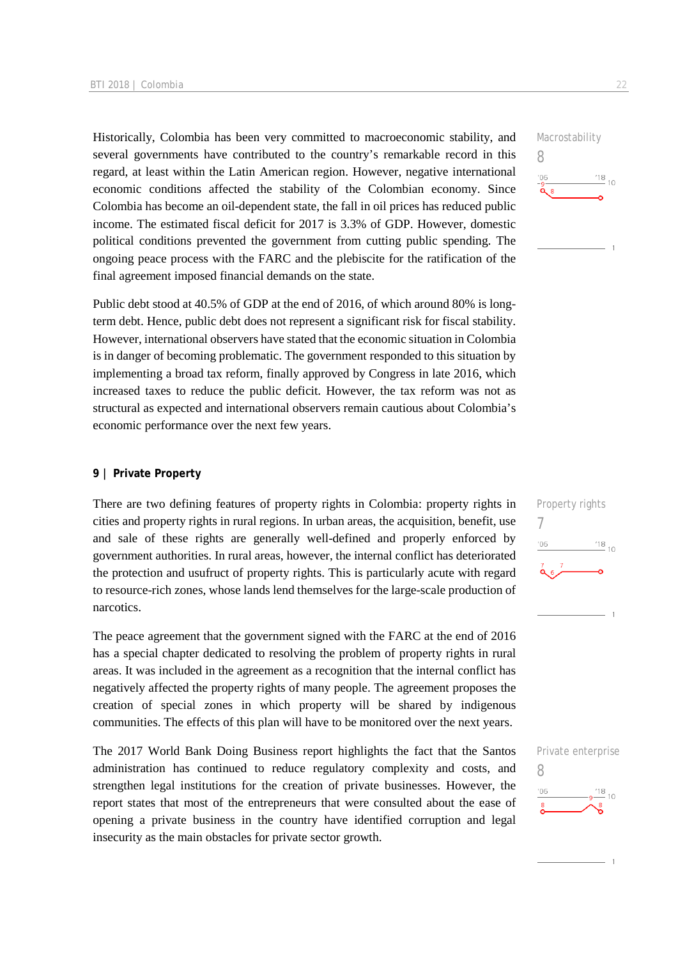Historically, Colombia has been very committed to macroeconomic stability, and several governments have contributed to the country's remarkable record in this regard, at least within the Latin American region. However, negative international economic conditions affected the stability of the Colombian economy. Since Colombia has become an oil-dependent state, the fall in oil prices has reduced public income. The estimated fiscal deficit for 2017 is 3.3% of GDP. However, domestic political conditions prevented the government from cutting public spending. The ongoing peace process with the FARC and the plebiscite for the ratification of the final agreement imposed financial demands on the state.

Public debt stood at 40.5% of GDP at the end of 2016, of which around 80% is longterm debt. Hence, public debt does not represent a significant risk for fiscal stability. However, international observers have stated that the economic situation in Colombia is in danger of becoming problematic. The government responded to this situation by implementing a broad tax reform, finally approved by Congress in late 2016, which increased taxes to reduce the public deficit. However, the tax reform was not as structural as expected and international observers remain cautious about Colombia's economic performance over the next few years.

### **9 | Private Property**

There are two defining features of property rights in Colombia: property rights in cities and property rights in rural regions. In urban areas, the acquisition, benefit, use and sale of these rights are generally well-defined and properly enforced by government authorities. In rural areas, however, the internal conflict has deteriorated the protection and usufruct of property rights. This is particularly acute with regard to resource-rich zones, whose lands lend themselves for the large-scale production of narcotics.

The peace agreement that the government signed with the FARC at the end of 2016 has a special chapter dedicated to resolving the problem of property rights in rural areas. It was included in the agreement as a recognition that the internal conflict has negatively affected the property rights of many people. The agreement proposes the creation of special zones in which property will be shared by indigenous communities. The effects of this plan will have to be monitored over the next years.

The 2017 World Bank Doing Business report highlights the fact that the Santos administration has continued to reduce regulatory complexity and costs, and strengthen legal institutions for the creation of private businesses. However, the report states that most of the entrepreneurs that were consulted about the ease of opening a private business in the country have identified corruption and legal insecurity as the main obstacles for private sector growth.





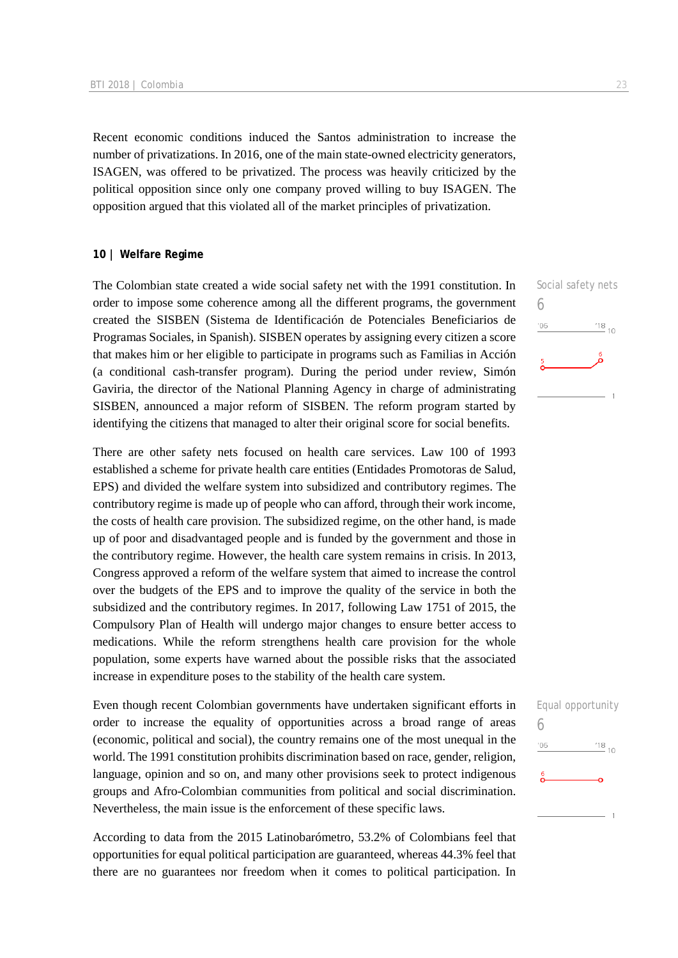Recent economic conditions induced the Santos administration to increase the number of privatizations. In 2016, one of the main state-owned electricity generators, ISAGEN, was offered to be privatized. The process was heavily criticized by the political opposition since only one company proved willing to buy ISAGEN. The opposition argued that this violated all of the market principles of privatization.

### **10 | Welfare Regime**

The Colombian state created a wide social safety net with the 1991 constitution. In order to impose some coherence among all the different programs, the government created the SISBEN (Sistema de Identificación de Potenciales Beneficiarios de Programas Sociales, in Spanish). SISBEN operates by assigning every citizen a score that makes him or her eligible to participate in programs such as Familias in Acción (a conditional cash-transfer program). During the period under review, Simón Gaviria, the director of the National Planning Agency in charge of administrating SISBEN, announced a major reform of SISBEN. The reform program started by identifying the citizens that managed to alter their original score for social benefits.

There are other safety nets focused on health care services. Law 100 of 1993 established a scheme for private health care entities (Entidades Promotoras de Salud, EPS) and divided the welfare system into subsidized and contributory regimes. The contributory regime is made up of people who can afford, through their work income, the costs of health care provision. The subsidized regime, on the other hand, is made up of poor and disadvantaged people and is funded by the government and those in the contributory regime. However, the health care system remains in crisis. In 2013, Congress approved a reform of the welfare system that aimed to increase the control over the budgets of the EPS and to improve the quality of the service in both the subsidized and the contributory regimes. In 2017, following Law 1751 of 2015, the Compulsory Plan of Health will undergo major changes to ensure better access to medications. While the reform strengthens health care provision for the whole population, some experts have warned about the possible risks that the associated increase in expenditure poses to the stability of the health care system.

Even though recent Colombian governments have undertaken significant efforts in order to increase the equality of opportunities across a broad range of areas (economic, political and social), the country remains one of the most unequal in the world. The 1991 constitution prohibits discrimination based on race, gender, religion, language, opinion and so on, and many other provisions seek to protect indigenous groups and Afro-Colombian communities from political and social discrimination. Nevertheless, the main issue is the enforcement of these specific laws.

According to data from the 2015 Latinobarómetro, 53.2% of Colombians feel that opportunities for equal political participation are guaranteed, whereas 44.3% feel that there are no guarantees nor freedom when it comes to political participation. In



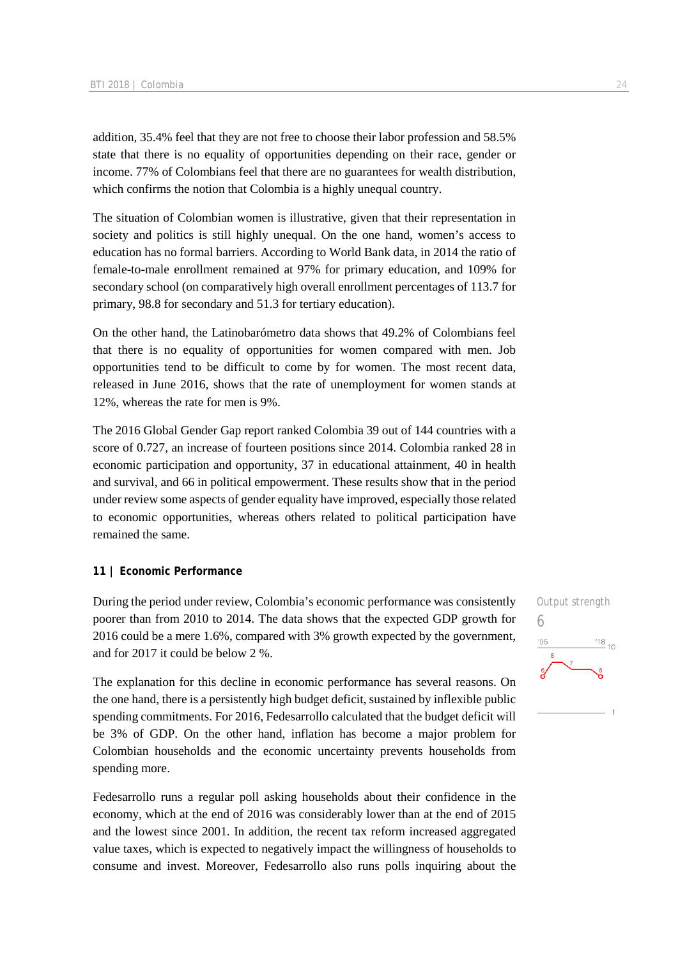addition, 35.4% feel that they are not free to choose their labor profession and 58.5% state that there is no equality of opportunities depending on their race, gender or income. 77% of Colombians feel that there are no guarantees for wealth distribution, which confirms the notion that Colombia is a highly unequal country.

The situation of Colombian women is illustrative, given that their representation in society and politics is still highly unequal. On the one hand, women's access to education has no formal barriers. According to World Bank data, in 2014 the ratio of female-to-male enrollment remained at 97% for primary education, and 109% for secondary school (on comparatively high overall enrollment percentages of 113.7 for primary, 98.8 for secondary and 51.3 for tertiary education).

On the other hand, the Latinobarómetro data shows that 49.2% of Colombians feel that there is no equality of opportunities for women compared with men. Job opportunities tend to be difficult to come by for women. The most recent data, released in June 2016, shows that the rate of unemployment for women stands at 12%, whereas the rate for men is 9%.

The 2016 Global Gender Gap report ranked Colombia 39 out of 144 countries with a score of 0.727, an increase of fourteen positions since 2014. Colombia ranked 28 in economic participation and opportunity, 37 in educational attainment, 40 in health and survival, and 66 in political empowerment. These results show that in the period under review some aspects of gender equality have improved, especially those related to economic opportunities, whereas others related to political participation have remained the same.

#### **11 | Economic Performance**

During the period under review, Colombia's economic performance was consistently poorer than from 2010 to 2014. The data shows that the expected GDP growth for 2016 could be a mere 1.6%, compared with 3% growth expected by the government, and for 2017 it could be below 2 %.

The explanation for this decline in economic performance has several reasons. On the one hand, there is a persistently high budget deficit, sustained by inflexible public spending commitments. For 2016, Fedesarrollo calculated that the budget deficit will be 3% of GDP. On the other hand, inflation has become a major problem for Colombian households and the economic uncertainty prevents households from spending more.

Fedesarrollo runs a regular poll asking households about their confidence in the economy, which at the end of 2016 was considerably lower than at the end of 2015 and the lowest since 2001. In addition, the recent tax reform increased aggregated value taxes, which is expected to negatively impact the willingness of households to consume and invest. Moreover, Fedesarrollo also runs polls inquiring about the

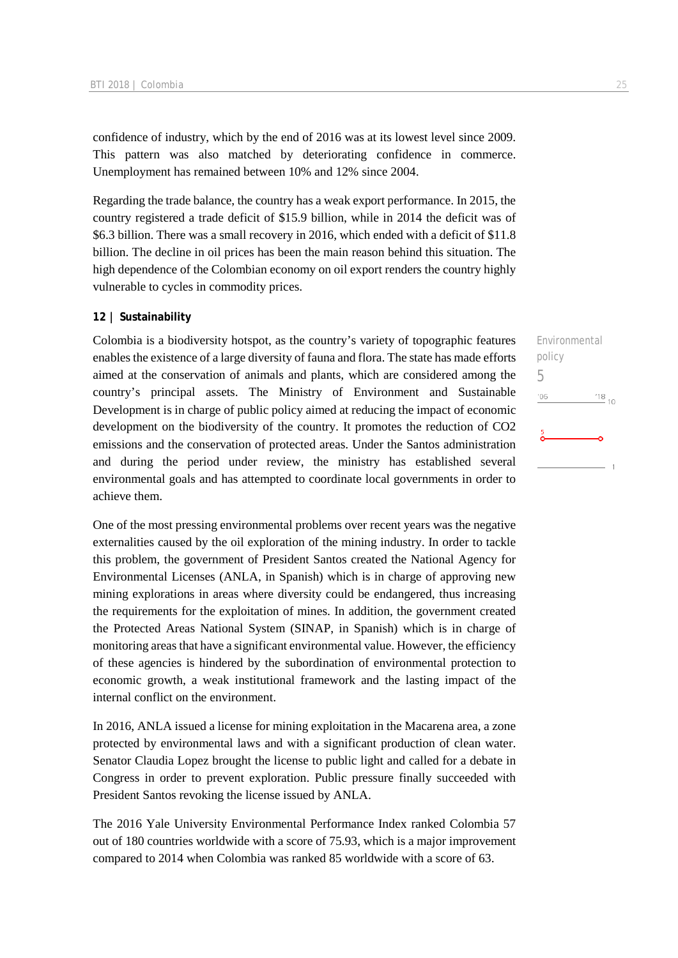confidence of industry, which by the end of 2016 was at its lowest level since 2009. This pattern was also matched by deteriorating confidence in commerce. Unemployment has remained between 10% and 12% since 2004.

Regarding the trade balance, the country has a weak export performance. In 2015, the country registered a trade deficit of \$15.9 billion, while in 2014 the deficit was of \$6.3 billion. There was a small recovery in 2016, which ended with a deficit of \$11.8 billion. The decline in oil prices has been the main reason behind this situation. The high dependence of the Colombian economy on oil export renders the country highly vulnerable to cycles in commodity prices.

### **12 | Sustainability**

Colombia is a biodiversity hotspot, as the country's variety of topographic features enables the existence of a large diversity of fauna and flora. The state has made efforts aimed at the conservation of animals and plants, which are considered among the country's principal assets. The Ministry of Environment and Sustainable Development is in charge of public policy aimed at reducing the impact of economic development on the biodiversity of the country. It promotes the reduction of CO2 emissions and the conservation of protected areas. Under the Santos administration and during the period under review, the ministry has established several environmental goals and has attempted to coordinate local governments in order to achieve them.

One of the most pressing environmental problems over recent years was the negative externalities caused by the oil exploration of the mining industry. In order to tackle this problem, the government of President Santos created the National Agency for Environmental Licenses (ANLA, in Spanish) which is in charge of approving new mining explorations in areas where diversity could be endangered, thus increasing the requirements for the exploitation of mines. In addition, the government created the Protected Areas National System (SINAP, in Spanish) which is in charge of monitoring areas that have a significant environmental value. However, the efficiency of these agencies is hindered by the subordination of environmental protection to economic growth, a weak institutional framework and the lasting impact of the internal conflict on the environment.

In 2016, ANLA issued a license for mining exploitation in the Macarena area, a zone protected by environmental laws and with a significant production of clean water. Senator Claudia Lopez brought the license to public light and called for a debate in Congress in order to prevent exploration. Public pressure finally succeeded with President Santos revoking the license issued by ANLA.

The 2016 Yale University Environmental Performance Index ranked Colombia 57 out of 180 countries worldwide with a score of 75.93, which is a major improvement compared to 2014 when Colombia was ranked 85 worldwide with a score of 63.

Environmental policy 5 $-06$  $^{18}_{-10}$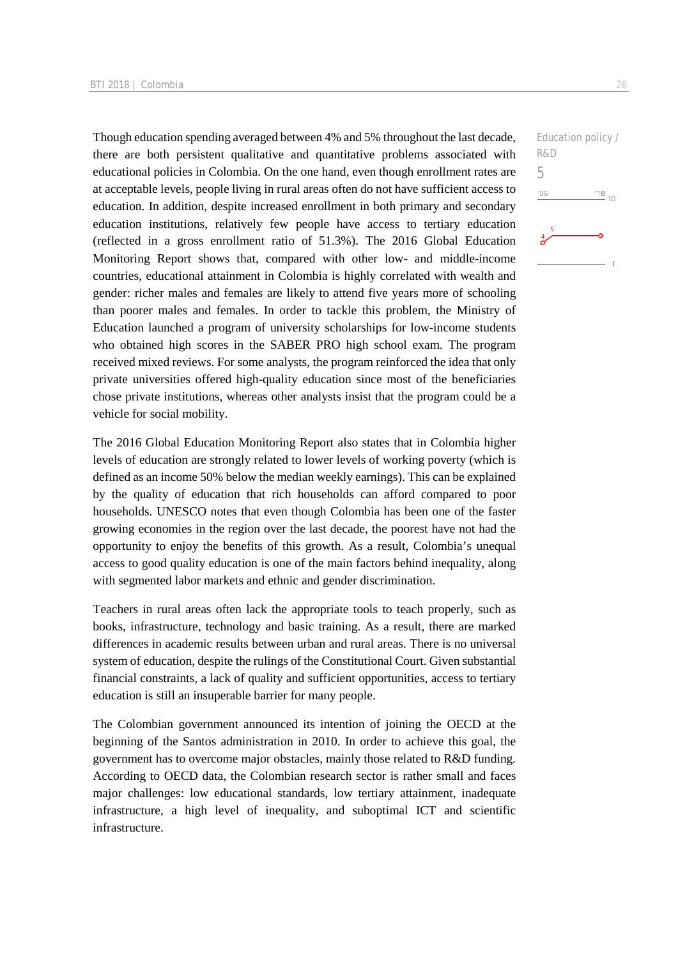Though education spending averaged between 4% and 5% throughout the last decade, there are both persistent qualitative and quantitative problems associated with educational policies in Colombia. On the one hand, even though enrollment rates are at acceptable levels, people living in rural areas often do not have sufficient access to education. In addition, despite increased enrollment in both primary and secondary education institutions, relatively few people have access to tertiary education (reflected in a gross enrollment ratio of 51.3%). The 2016 Global Education Monitoring Report shows that, compared with other low- and middle-income countries, educational attainment in Colombia is highly correlated with wealth and gender: richer males and females are likely to attend five years more of schooling than poorer males and females. In order to tackle this problem, the Ministry of Education launched a program of university scholarships for low-income students who obtained high scores in the SABER PRO high school exam. The program received mixed reviews. For some analysts, the program reinforced the idea that only private universities offered high-quality education since most of the beneficiaries chose private institutions, whereas other analysts insist that the program could be a vehicle for social mobility.

The 2016 Global Education Monitoring Report also states that in Colombia higher levels of education are strongly related to lower levels of working poverty (which is defined as an income 50% below the median weekly earnings). This can be explained by the quality of education that rich households can afford compared to poor households. UNESCO notes that even though Colombia has been one of the faster growing economies in the region over the last decade, the poorest have not had the opportunity to enjoy the benefits of this growth. As a result, Colombia's unequal access to good quality education is one of the main factors behind inequality, along with segmented labor markets and ethnic and gender discrimination.

Teachers in rural areas often lack the appropriate tools to teach properly, such as books, infrastructure, technology and basic training. As a result, there are marked differences in academic results between urban and rural areas. There is no universal system of education, despite the rulings of the Constitutional Court. Given substantial financial constraints, a lack of quality and sufficient opportunities, access to tertiary education is still an insuperable barrier for many people.

The Colombian government announced its intention of joining the OECD at the beginning of the Santos administration in 2010. In order to achieve this goal, the government has to overcome major obstacles, mainly those related to R&D funding. According to OECD data, the Colombian research sector is rather small and faces major challenges: low educational standards, low tertiary attainment, inadequate infrastructure, a high level of inequality, and suboptimal ICT and scientific infrastructure.

Education policy / R&D 5 $'06$  $^{'}18$ <sub>10</sub>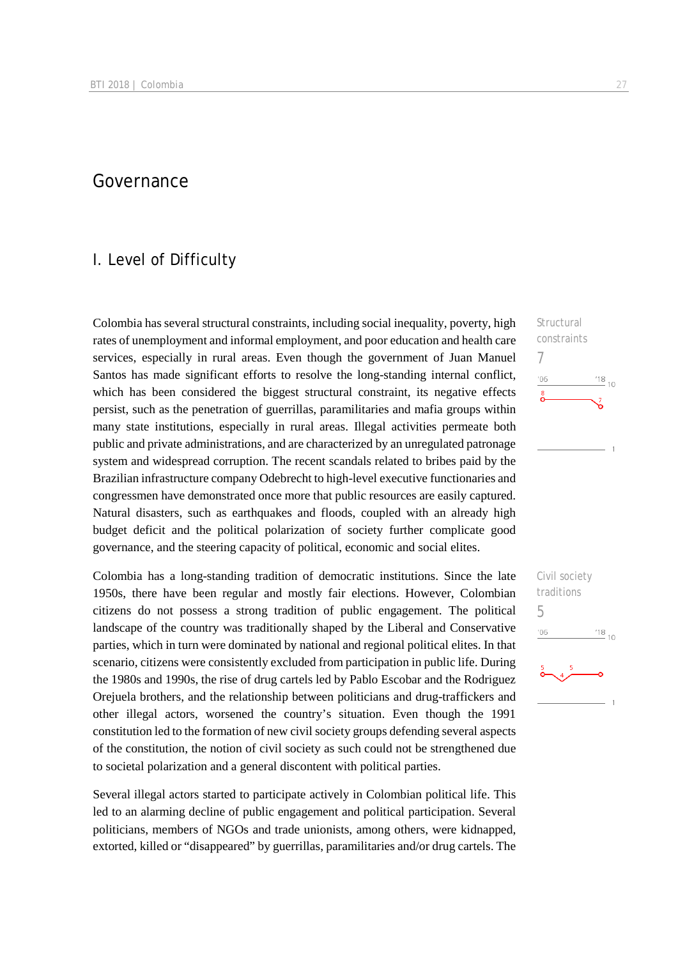### Governance

### I. Level of Difficulty

Colombia has several structural constraints, including social inequality, poverty, high rates of unemployment and informal employment, and poor education and health care services, especially in rural areas. Even though the government of Juan Manuel Santos has made significant efforts to resolve the long-standing internal conflict, which has been considered the biggest structural constraint, its negative effects persist, such as the penetration of guerrillas, paramilitaries and mafia groups within many state institutions, especially in rural areas. Illegal activities permeate both public and private administrations, and are characterized by an unregulated patronage system and widespread corruption. The recent scandals related to bribes paid by the Brazilian infrastructure company Odebrecht to high-level executive functionaries and congressmen have demonstrated once more that public resources are easily captured. Natural disasters, such as earthquakes and floods, coupled with an already high budget deficit and the political polarization of society further complicate good governance, and the steering capacity of political, economic and social elites.

Colombia has a long-standing tradition of democratic institutions. Since the late 1950s, there have been regular and mostly fair elections. However, Colombian citizens do not possess a strong tradition of public engagement. The political landscape of the country was traditionally shaped by the Liberal and Conservative parties, which in turn were dominated by national and regional political elites. In that scenario, citizens were consistently excluded from participation in public life. During the 1980s and 1990s, the rise of drug cartels led by Pablo Escobar and the Rodriguez Orejuela brothers, and the relationship between politicians and drug-traffickers and other illegal actors, worsened the country's situation. Even though the 1991 constitution led to the formation of new civil society groups defending several aspects of the constitution, the notion of civil society as such could not be strengthened due to societal polarization and a general discontent with political parties.

Several illegal actors started to participate actively in Colombian political life. This led to an alarming decline of public engagement and political participation. Several politicians, members of NGOs and trade unionists, among others, were kidnapped, extorted, killed or "disappeared" by guerrillas, paramilitaries and/or drug cartels. The



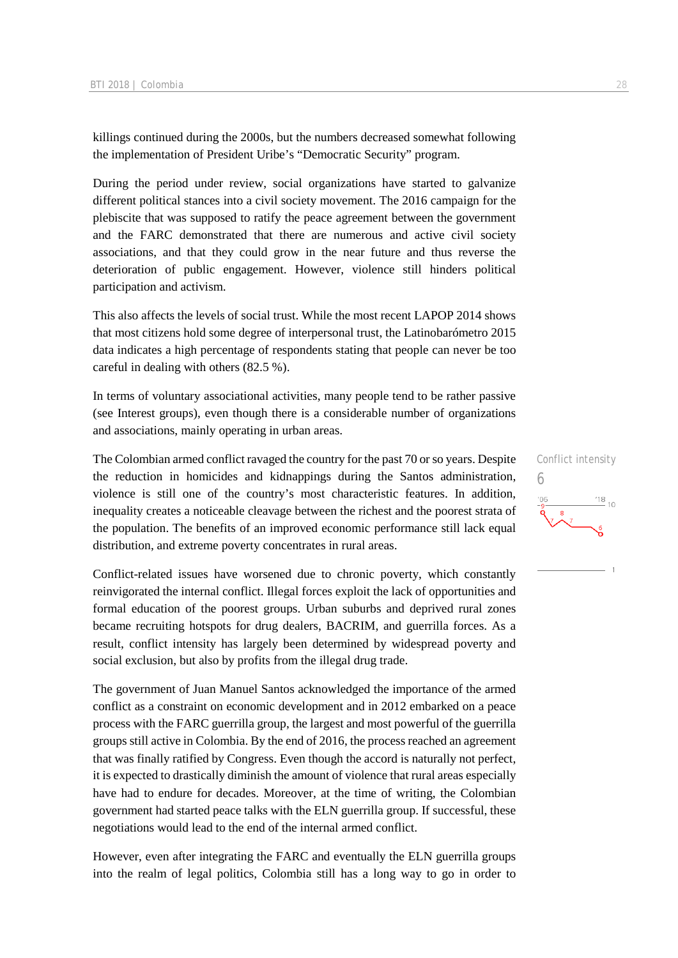killings continued during the 2000s, but the numbers decreased somewhat following the implementation of President Uribe's "Democratic Security" program.

During the period under review, social organizations have started to galvanize different political stances into a civil society movement. The 2016 campaign for the plebiscite that was supposed to ratify the peace agreement between the government and the FARC demonstrated that there are numerous and active civil society associations, and that they could grow in the near future and thus reverse the deterioration of public engagement. However, violence still hinders political participation and activism.

This also affects the levels of social trust. While the most recent LAPOP 2014 shows that most citizens hold some degree of interpersonal trust, the Latinobarómetro 2015 data indicates a high percentage of respondents stating that people can never be too careful in dealing with others (82.5 %).

In terms of voluntary associational activities, many people tend to be rather passive (see Interest groups), even though there is a considerable number of organizations and associations, mainly operating in urban areas.

The Colombian armed conflict ravaged the country for the past 70 or so years. Despite the reduction in homicides and kidnappings during the Santos administration, violence is still one of the country's most characteristic features. In addition, inequality creates a noticeable cleavage between the richest and the poorest strata of the population. The benefits of an improved economic performance still lack equal distribution, and extreme poverty concentrates in rural areas.

Conflict-related issues have worsened due to chronic poverty, which constantly reinvigorated the internal conflict. Illegal forces exploit the lack of opportunities and formal education of the poorest groups. Urban suburbs and deprived rural zones became recruiting hotspots for drug dealers, BACRIM, and guerrilla forces. As a result, conflict intensity has largely been determined by widespread poverty and social exclusion, but also by profits from the illegal drug trade.

The government of Juan Manuel Santos acknowledged the importance of the armed conflict as a constraint on economic development and in 2012 embarked on a peace process with the FARC guerrilla group, the largest and most powerful of the guerrilla groups still active in Colombia. By the end of 2016, the process reached an agreement that was finally ratified by Congress. Even though the accord is naturally not perfect, it is expected to drastically diminish the amount of violence that rural areas especially have had to endure for decades. Moreover, at the time of writing, the Colombian government had started peace talks with the ELN guerrilla group. If successful, these negotiations would lead to the end of the internal armed conflict.

However, even after integrating the FARC and eventually the ELN guerrilla groups into the realm of legal politics, Colombia still has a long way to go in order to

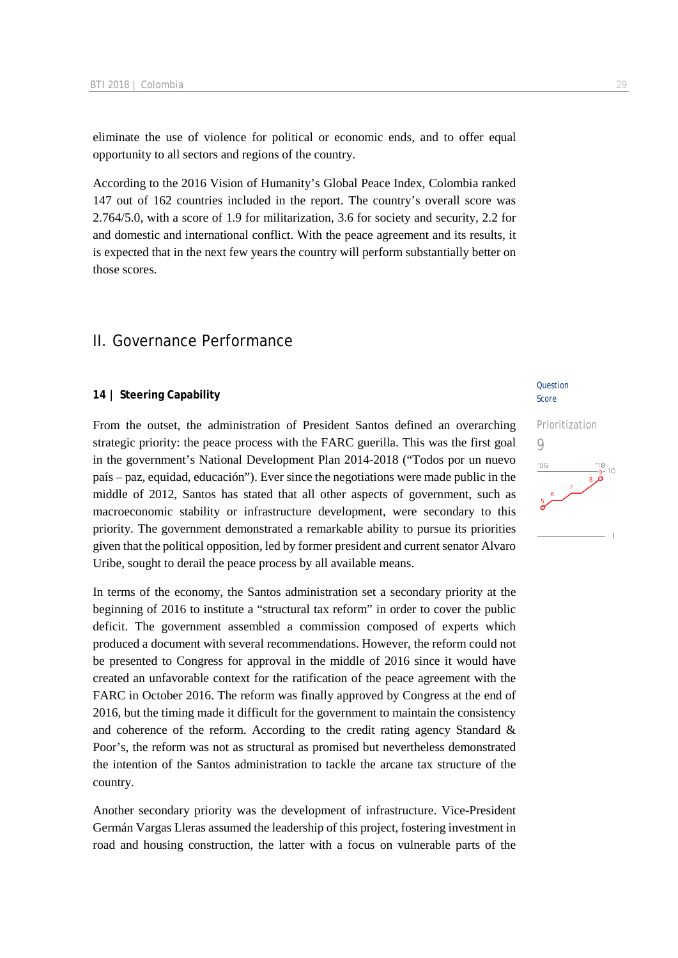eliminate the use of violence for political or economic ends, and to offer equal opportunity to all sectors and regions of the country.

According to the 2016 Vision of Humanity's Global Peace Index, Colombia ranked 147 out of 162 countries included in the report. The country's overall score was 2.764/5.0, with a score of 1.9 for militarization, 3.6 for society and security, 2.2 for and domestic and international conflict. With the peace agreement and its results, it is expected that in the next few years the country will perform substantially better on those scores.

### II. Governance Performance

### **14 | Steering Capability**

From the outset, the administration of President Santos defined an overarching strategic priority: the peace process with the FARC guerilla. This was the first goal in the government's National Development Plan 2014-2018 ("Todos por un nuevo país – paz, equidad, educación"). Ever since the negotiations were made public in the middle of 2012, Santos has stated that all other aspects of government, such as macroeconomic stability or infrastructure development, were secondary to this priority. The government demonstrated a remarkable ability to pursue its priorities given that the political opposition, led by former president and current senator Alvaro Uribe, sought to derail the peace process by all available means.

In terms of the economy, the Santos administration set a secondary priority at the beginning of 2016 to institute a "structural tax reform" in order to cover the public deficit. The government assembled a commission composed of experts which produced a document with several recommendations. However, the reform could not be presented to Congress for approval in the middle of 2016 since it would have created an unfavorable context for the ratification of the peace agreement with the FARC in October 2016. The reform was finally approved by Congress at the end of 2016, but the timing made it difficult for the government to maintain the consistency and coherence of the reform. According to the credit rating agency Standard & Poor's, the reform was not as structural as promised but nevertheless demonstrated the intention of the Santos administration to tackle the arcane tax structure of the country.

Another secondary priority was the development of infrastructure. Vice-President Germán Vargas Lleras assumed the leadership of this project, fostering investment in road and housing construction, the latter with a focus on vulnerable parts of the

### Question Score

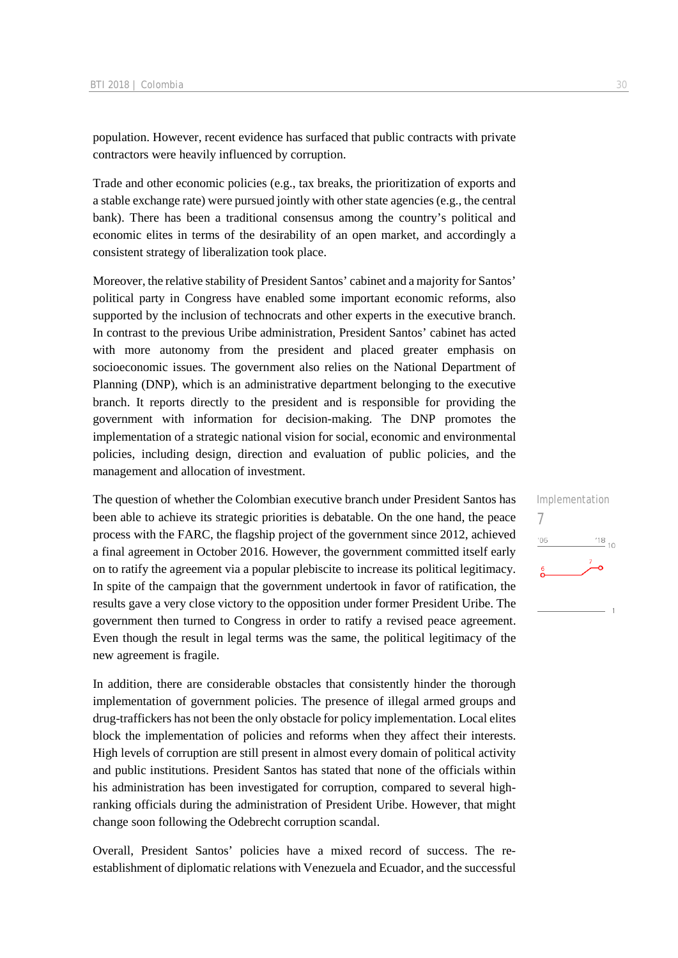population. However, recent evidence has surfaced that public contracts with private contractors were heavily influenced by corruption.

Trade and other economic policies (e.g., tax breaks, the prioritization of exports and a stable exchange rate) were pursued jointly with other state agencies (e.g., the central bank). There has been a traditional consensus among the country's political and economic elites in terms of the desirability of an open market, and accordingly a consistent strategy of liberalization took place.

Moreover, the relative stability of President Santos' cabinet and a majority for Santos' political party in Congress have enabled some important economic reforms, also supported by the inclusion of technocrats and other experts in the executive branch. In contrast to the previous Uribe administration, President Santos' cabinet has acted with more autonomy from the president and placed greater emphasis on socioeconomic issues. The government also relies on the National Department of Planning (DNP), which is an administrative department belonging to the executive branch. It reports directly to the president and is responsible for providing the government with information for decision-making. The DNP promotes the implementation of a strategic national vision for social, economic and environmental policies, including design, direction and evaluation of public policies, and the management and allocation of investment.

The question of whether the Colombian executive branch under President Santos has been able to achieve its strategic priorities is debatable. On the one hand, the peace process with the FARC, the flagship project of the government since 2012, achieved a final agreement in October 2016. However, the government committed itself early on to ratify the agreement via a popular plebiscite to increase its political legitimacy. In spite of the campaign that the government undertook in favor of ratification, the results gave a very close victory to the opposition under former President Uribe. The government then turned to Congress in order to ratify a revised peace agreement. Even though the result in legal terms was the same, the political legitimacy of the new agreement is fragile.

In addition, there are considerable obstacles that consistently hinder the thorough implementation of government policies. The presence of illegal armed groups and drug-traffickers has not been the only obstacle for policy implementation. Local elites block the implementation of policies and reforms when they affect their interests. High levels of corruption are still present in almost every domain of political activity and public institutions. President Santos has stated that none of the officials within his administration has been investigated for corruption, compared to several highranking officials during the administration of President Uribe. However, that might change soon following the Odebrecht corruption scandal.

Overall, President Santos' policies have a mixed record of success. The reestablishment of diplomatic relations with Venezuela and Ecuador, and the successful Implementation 7 $\frac{18}{10}$  10  $^{\prime}06$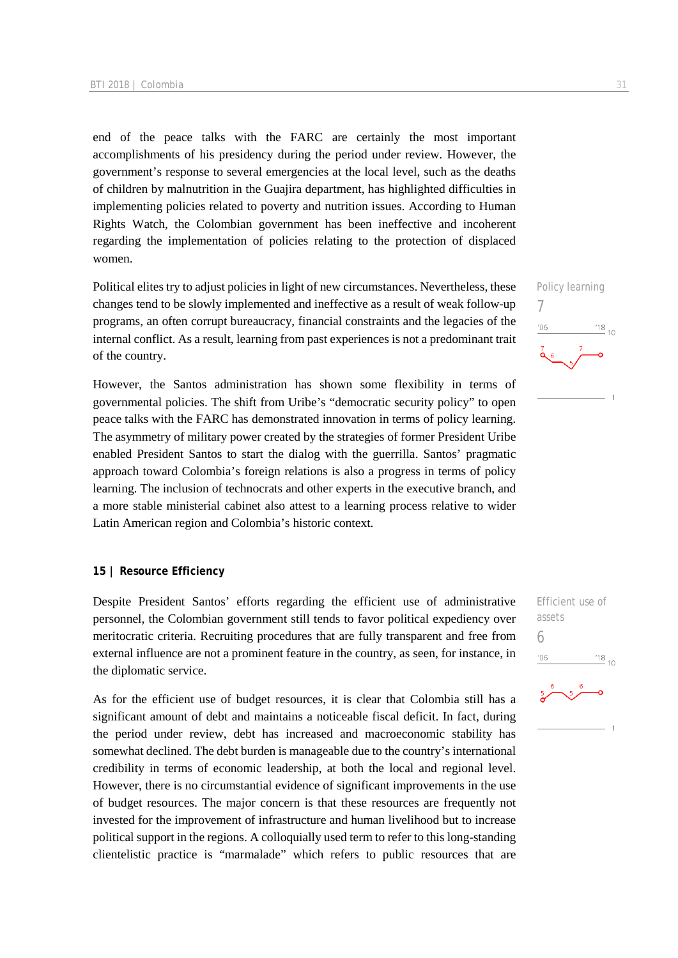end of the peace talks with the FARC are certainly the most important accomplishments of his presidency during the period under review. However, the government's response to several emergencies at the local level, such as the deaths of children by malnutrition in the Guajira department, has highlighted difficulties in implementing policies related to poverty and nutrition issues. According to Human Rights Watch, the Colombian government has been ineffective and incoherent regarding the implementation of policies relating to the protection of displaced women.

Political elites try to adjust policies in light of new circumstances. Nevertheless, these changes tend to be slowly implemented and ineffective as a result of weak follow-up programs, an often corrupt bureaucracy, financial constraints and the legacies of the internal conflict. As a result, learning from past experiences is not a predominant trait of the country.

However, the Santos administration has shown some flexibility in terms of governmental policies. The shift from Uribe's "democratic security policy" to open peace talks with the FARC has demonstrated innovation in terms of policy learning. The asymmetry of military power created by the strategies of former President Uribe enabled President Santos to start the dialog with the guerrilla. Santos' pragmatic approach toward Colombia's foreign relations is also a progress in terms of policy learning. The inclusion of technocrats and other experts in the executive branch, and a more stable ministerial cabinet also attest to a learning process relative to wider Latin American region and Colombia's historic context.

### **15 | Resource Efficiency**

Despite President Santos' efforts regarding the efficient use of administrative personnel, the Colombian government still tends to favor political expediency over meritocratic criteria. Recruiting procedures that are fully transparent and free from external influence are not a prominent feature in the country, as seen, for instance, in the diplomatic service.

As for the efficient use of budget resources, it is clear that Colombia still has a significant amount of debt and maintains a noticeable fiscal deficit. In fact, during the period under review, debt has increased and macroeconomic stability has somewhat declined. The debt burden is manageable due to the country's international credibility in terms of economic leadership, at both the local and regional level. However, there is no circumstantial evidence of significant improvements in the use of budget resources. The major concern is that these resources are frequently not invested for the improvement of infrastructure and human livelihood but to increase political support in the regions. A colloquially used term to refer to this long-standing clientelistic practice is "marmalade" which refers to public resources that are



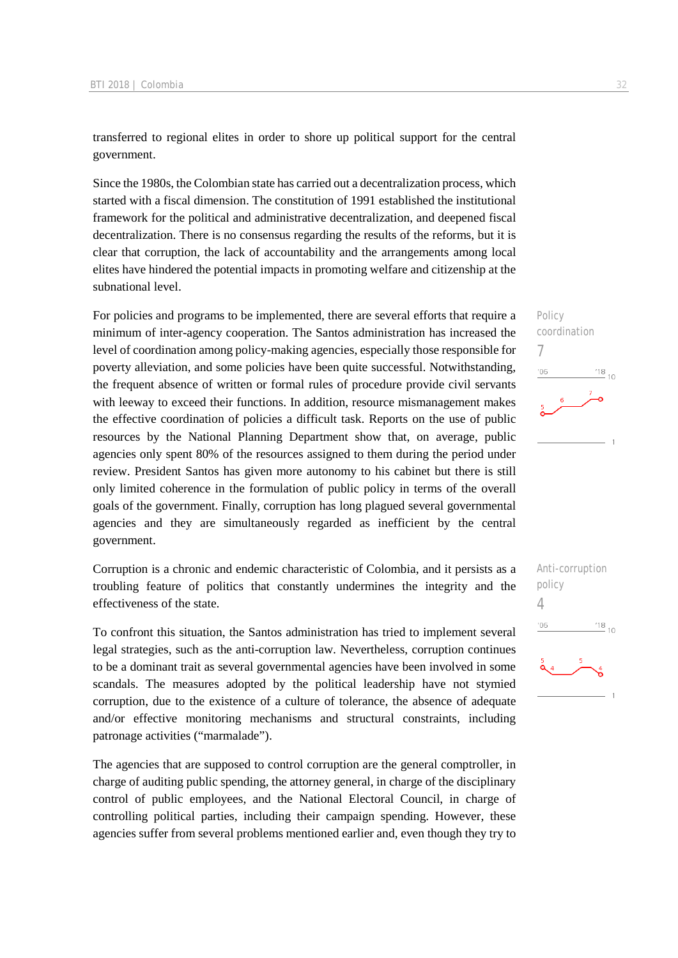transferred to regional elites in order to shore up political support for the central government.

Since the 1980s, the Colombian state has carried out a decentralization process, which started with a fiscal dimension. The constitution of 1991 established the institutional framework for the political and administrative decentralization, and deepened fiscal decentralization. There is no consensus regarding the results of the reforms, but it is clear that corruption, the lack of accountability and the arrangements among local elites have hindered the potential impacts in promoting welfare and citizenship at the subnational level.

For policies and programs to be implemented, there are several efforts that require a minimum of inter-agency cooperation. The Santos administration has increased the level of coordination among policy-making agencies, especially those responsible for poverty alleviation, and some policies have been quite successful. Notwithstanding, the frequent absence of written or formal rules of procedure provide civil servants with leeway to exceed their functions. In addition, resource mismanagement makes the effective coordination of policies a difficult task. Reports on the use of public resources by the National Planning Department show that, on average, public agencies only spent 80% of the resources assigned to them during the period under review. President Santos has given more autonomy to his cabinet but there is still only limited coherence in the formulation of public policy in terms of the overall goals of the government. Finally, corruption has long plagued several governmental agencies and they are simultaneously regarded as inefficient by the central government.

Corruption is a chronic and endemic characteristic of Colombia, and it persists as a troubling feature of politics that constantly undermines the integrity and the effectiveness of the state.

To confront this situation, the Santos administration has tried to implement several legal strategies, such as the anti-corruption law. Nevertheless, corruption continues to be a dominant trait as several governmental agencies have been involved in some scandals. The measures adopted by the political leadership have not stymied corruption, due to the existence of a culture of tolerance, the absence of adequate and/or effective monitoring mechanisms and structural constraints, including patronage activities ("marmalade").

The agencies that are supposed to control corruption are the general comptroller, in charge of auditing public spending, the attorney general, in charge of the disciplinary control of public employees, and the National Electoral Council, in charge of controlling political parties, including their campaign spending. However, these agencies suffer from several problems mentioned earlier and, even though they try to



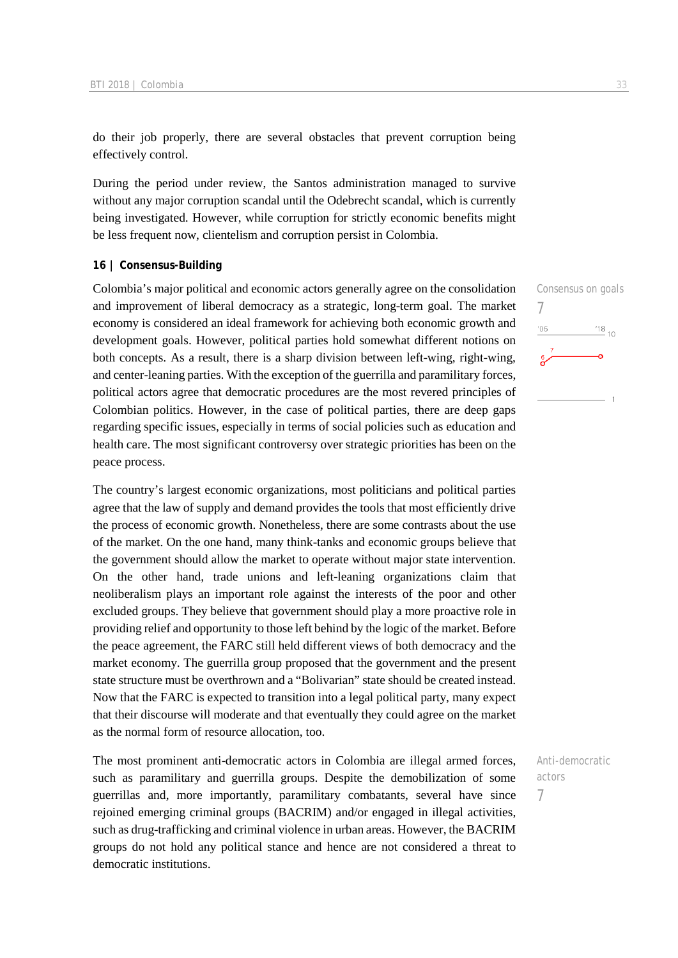do their job properly, there are several obstacles that prevent corruption being effectively control.

During the period under review, the Santos administration managed to survive without any major corruption scandal until the Odebrecht scandal, which is currently being investigated. However, while corruption for strictly economic benefits might be less frequent now, clientelism and corruption persist in Colombia.

#### **16 | Consensus-Building**

Colombia's major political and economic actors generally agree on the consolidation and improvement of liberal democracy as a strategic, long-term goal. The market economy is considered an ideal framework for achieving both economic growth and development goals. However, political parties hold somewhat different notions on both concepts. As a result, there is a sharp division between left-wing, right-wing, and center-leaning parties. With the exception of the guerrilla and paramilitary forces, political actors agree that democratic procedures are the most revered principles of Colombian politics. However, in the case of political parties, there are deep gaps regarding specific issues, especially in terms of social policies such as education and health care. The most significant controversy over strategic priorities has been on the peace process.

The country's largest economic organizations, most politicians and political parties agree that the law of supply and demand provides the tools that most efficiently drive the process of economic growth. Nonetheless, there are some contrasts about the use of the market. On the one hand, many think-tanks and economic groups believe that the government should allow the market to operate without major state intervention. On the other hand, trade unions and left-leaning organizations claim that neoliberalism plays an important role against the interests of the poor and other excluded groups. They believe that government should play a more proactive role in providing relief and opportunity to those left behind by the logic of the market. Before the peace agreement, the FARC still held different views of both democracy and the market economy. The guerrilla group proposed that the government and the present state structure must be overthrown and a "Bolivarian" state should be created instead. Now that the FARC is expected to transition into a legal political party, many expect that their discourse will moderate and that eventually they could agree on the market as the normal form of resource allocation, too.

The most prominent anti-democratic actors in Colombia are illegal armed forces, such as paramilitary and guerrilla groups. Despite the demobilization of some guerrillas and, more importantly, paramilitary combatants, several have since rejoined emerging criminal groups (BACRIM) and/or engaged in illegal activities, such as drug-trafficking and criminal violence in urban areas. However, the BACRIM groups do not hold any political stance and hence are not considered a threat to democratic institutions.



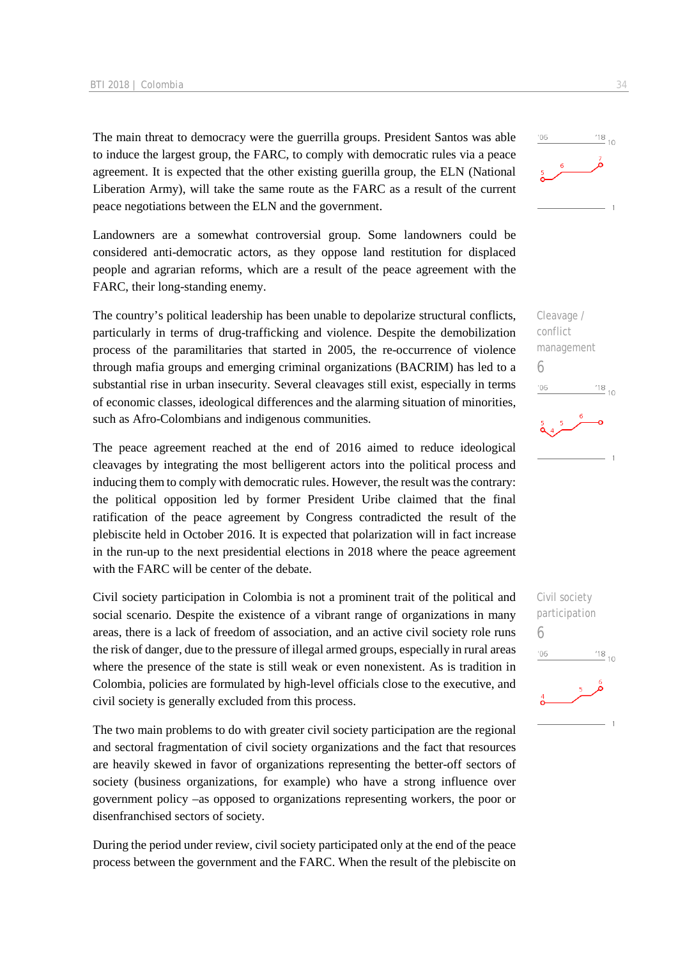The main threat to democracy were the guerrilla groups. President Santos was able to induce the largest group, the FARC, to comply with democratic rules via a peace agreement. It is expected that the other existing guerilla group, the ELN (National Liberation Army), will take the same route as the FARC as a result of the current peace negotiations between the ELN and the government.

Landowners are a somewhat controversial group. Some landowners could be considered anti-democratic actors, as they oppose land restitution for displaced people and agrarian reforms, which are a result of the peace agreement with the FARC, their long-standing enemy.

The country's political leadership has been unable to depolarize structural conflicts, particularly in terms of drug-trafficking and violence. Despite the demobilization process of the paramilitaries that started in 2005, the re-occurrence of violence through mafia groups and emerging criminal organizations (BACRIM) has led to a substantial rise in urban insecurity. Several cleavages still exist, especially in terms of economic classes, ideological differences and the alarming situation of minorities, such as Afro-Colombians and indigenous communities.

The peace agreement reached at the end of 2016 aimed to reduce ideological cleavages by integrating the most belligerent actors into the political process and inducing them to comply with democratic rules. However, the result was the contrary: the political opposition led by former President Uribe claimed that the final ratification of the peace agreement by Congress contradicted the result of the plebiscite held in October 2016. It is expected that polarization will in fact increase in the run-up to the next presidential elections in 2018 where the peace agreement with the FARC will be center of the debate.

Civil society participation in Colombia is not a prominent trait of the political and social scenario. Despite the existence of a vibrant range of organizations in many areas, there is a lack of freedom of association, and an active civil society role runs the risk of danger, due to the pressure of illegal armed groups, especially in rural areas where the presence of the state is still weak or even nonexistent. As is tradition in Colombia, policies are formulated by high-level officials close to the executive, and civil society is generally excluded from this process.

The two main problems to do with greater civil society participation are the regional and sectoral fragmentation of civil society organizations and the fact that resources are heavily skewed in favor of organizations representing the better-off sectors of society (business organizations, for example) who have a strong influence over government policy –as opposed to organizations representing workers, the poor or disenfranchised sectors of society.

During the period under review, civil society participated only at the end of the peace process between the government and the FARC. When the result of the plebiscite on



Cleavage / conflict management 6  $\frac{18}{10}$  10  $06'$ 

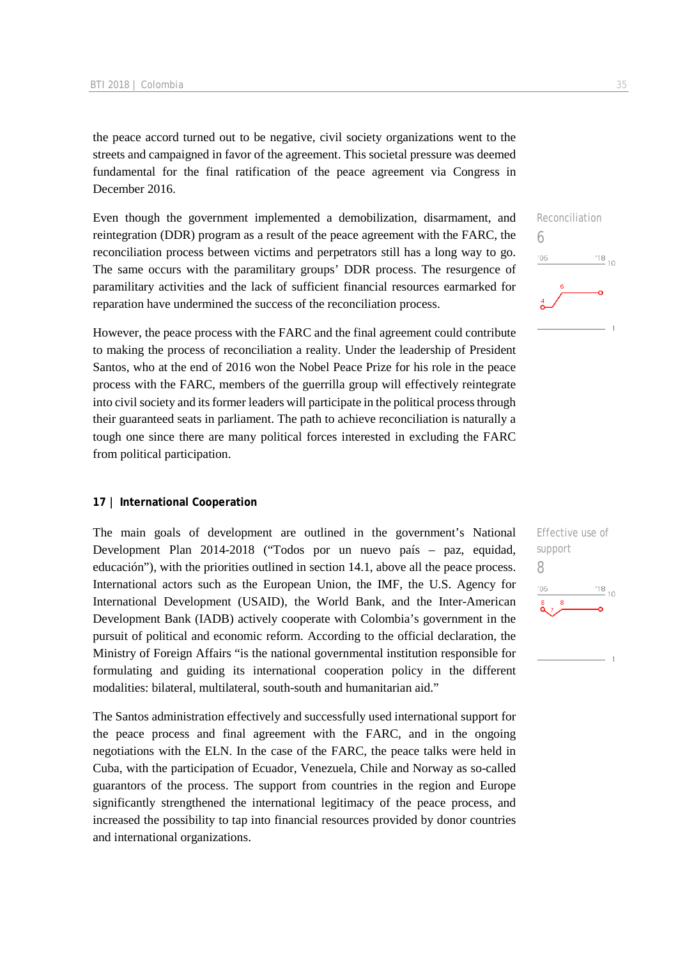the peace accord turned out to be negative, civil society organizations went to the streets and campaigned in favor of the agreement. This societal pressure was deemed fundamental for the final ratification of the peace agreement via Congress in December 2016.

Even though the government implemented a demobilization, disarmament, and reintegration (DDR) program as a result of the peace agreement with the FARC, the reconciliation process between victims and perpetrators still has a long way to go. The same occurs with the paramilitary groups' DDR process. The resurgence of paramilitary activities and the lack of sufficient financial resources earmarked for reparation have undermined the success of the reconciliation process.

However, the peace process with the FARC and the final agreement could contribute to making the process of reconciliation a reality. Under the leadership of President Santos, who at the end of 2016 won the Nobel Peace Prize for his role in the peace process with the FARC, members of the guerrilla group will effectively reintegrate into civil society and its former leaders will participate in the political process through their guaranteed seats in parliament. The path to achieve reconciliation is naturally a tough one since there are many political forces interested in excluding the FARC from political participation.

### **17 | International Cooperation**

The main goals of development are outlined in the government's National Development Plan 2014-2018 ("Todos por un nuevo país – paz, equidad, educación"), with the priorities outlined in section 14.1, above all the peace process. International actors such as the European Union, the IMF, the U.S. Agency for International Development (USAID), the World Bank, and the Inter-American Development Bank (IADB) actively cooperate with Colombia's government in the pursuit of political and economic reform. According to the official declaration, the Ministry of Foreign Affairs "is the national governmental institution responsible for formulating and guiding its international cooperation policy in the different modalities: bilateral, multilateral, south-south and humanitarian aid."

The Santos administration effectively and successfully used international support for the peace process and final agreement with the FARC, and in the ongoing negotiations with the ELN. In the case of the FARC, the peace talks were held in Cuba, with the participation of Ecuador, Venezuela, Chile and Norway as so-called guarantors of the process. The support from countries in the region and Europe significantly strengthened the international legitimacy of the peace process, and increased the possibility to tap into financial resources provided by donor countries and international organizations.



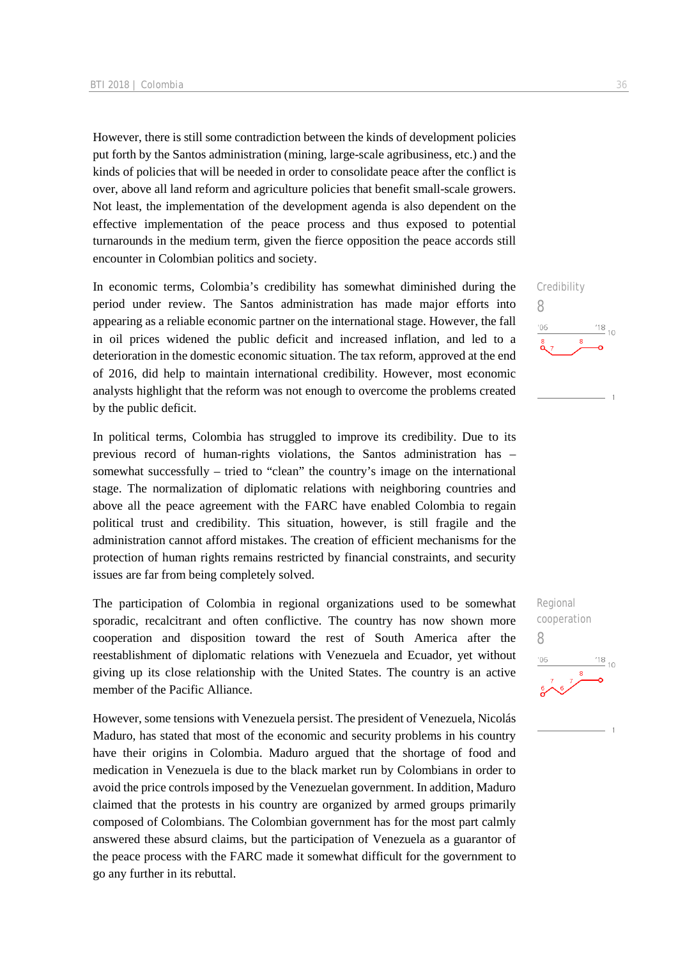However, there is still some contradiction between the kinds of development policies put forth by the Santos administration (mining, large-scale agribusiness, etc.) and the kinds of policies that will be needed in order to consolidate peace after the conflict is over, above all land reform and agriculture policies that benefit small-scale growers. Not least, the implementation of the development agenda is also dependent on the effective implementation of the peace process and thus exposed to potential turnarounds in the medium term, given the fierce opposition the peace accords still encounter in Colombian politics and society.

In economic terms, Colombia's credibility has somewhat diminished during the period under review. The Santos administration has made major efforts into appearing as a reliable economic partner on the international stage. However, the fall in oil prices widened the public deficit and increased inflation, and led to a deterioration in the domestic economic situation. The tax reform, approved at the end of 2016, did help to maintain international credibility. However, most economic analysts highlight that the reform was not enough to overcome the problems created by the public deficit.

In political terms, Colombia has struggled to improve its credibility. Due to its previous record of human-rights violations, the Santos administration has – somewhat successfully – tried to "clean" the country's image on the international stage. The normalization of diplomatic relations with neighboring countries and above all the peace agreement with the FARC have enabled Colombia to regain political trust and credibility. This situation, however, is still fragile and the administration cannot afford mistakes. The creation of efficient mechanisms for the protection of human rights remains restricted by financial constraints, and security issues are far from being completely solved.

The participation of Colombia in regional organizations used to be somewhat sporadic, recalcitrant and often conflictive. The country has now shown more cooperation and disposition toward the rest of South America after the reestablishment of diplomatic relations with Venezuela and Ecuador, yet without giving up its close relationship with the United States. The country is an active member of the Pacific Alliance.

However, some tensions with Venezuela persist. The president of Venezuela, Nicolás Maduro, has stated that most of the economic and security problems in his country have their origins in Colombia. Maduro argued that the shortage of food and medication in Venezuela is due to the black market run by Colombians in order to avoid the price controls imposed by the Venezuelan government. In addition, Maduro claimed that the protests in his country are organized by armed groups primarily composed of Colombians. The Colombian government has for the most part calmly answered these absurd claims, but the participation of Venezuela as a guarantor of the peace process with the FARC made it somewhat difficult for the government to go any further in its rebuttal.

Regional cooperation 8 $\frac{18}{10}$  10  $106$